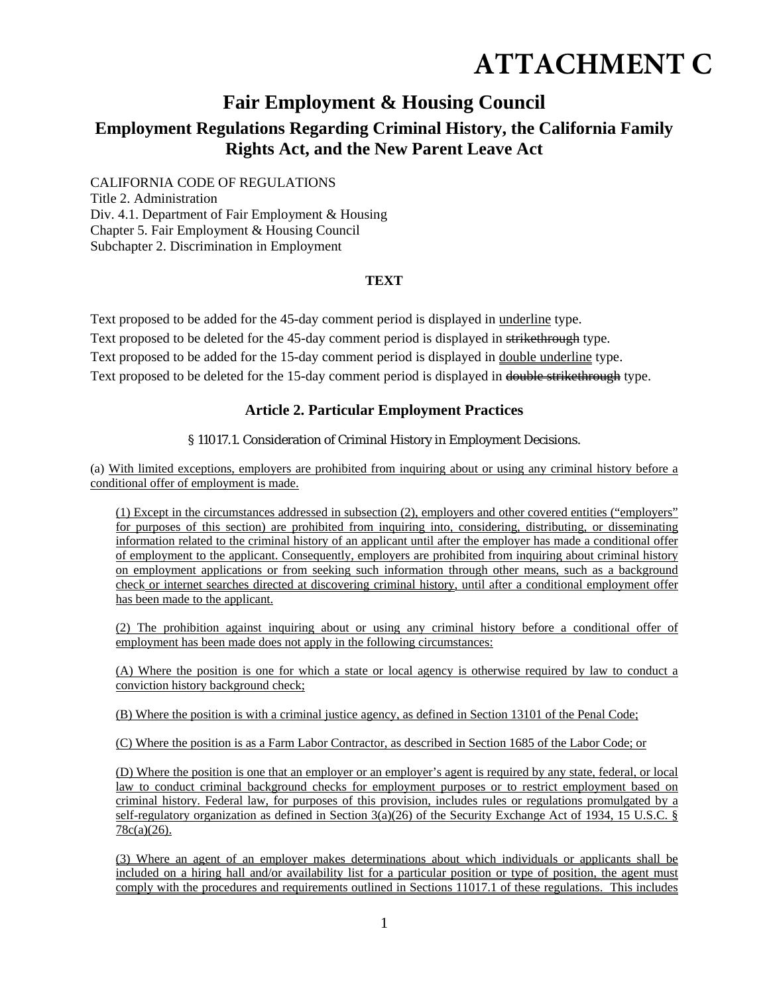# **ATTACHMENT C**

# **Fair Employment & Housing Council**

# **Employment Regulations Regarding Criminal History, the California Family Rights Act, and the New Parent Leave Act**

CALIFORNIA CODE OF REGULATIONS Title 2. Administration Div. 4.1. Department of Fair Employment & Housing Chapter 5. Fair Employment & Housing Council Subchapter 2. Discrimination in Employment

#### **TEXT**

Text proposed to be added for the 45-day comment period is displayed in underline type. Text proposed to be deleted for the 45-day comment period is displayed in strikethrough type. Text proposed to be added for the 15-day comment period is displayed in double underline type. Text proposed to be deleted for the 15-day comment period is displayed in double strikethrough type.

# **Article 2. Particular Employment Practices**

#### § 11017.1. Consideration of Criminal History in Employment Decisions.

(a) With limited exceptions, employers are prohibited from inquiring about or using any criminal history before a conditional offer of employment is made.

(1) Except in the circumstances addressed in subsection (2), employers and other covered entities ("employers" for purposes of this section) are prohibited from inquiring into, considering, distributing, or disseminating information related to the criminal history of an applicant until after the employer has made a conditional offer of employment to the applicant. Consequently, employers are prohibited from inquiring about criminal history on employment applications or from seeking such information through other means, such as a background check or internet searches directed at discovering criminal history, until after a conditional employment offer has been made to the applicant.

(2) The prohibition against inquiring about or using any criminal history before a conditional offer of employment has been made does not apply in the following circumstances:

(A) Where the position is one for which a state or local agency is otherwise required by law to conduct a conviction history background check;

(B) Where the position is with a criminal justice agency, as defined in Section 13101 of the Penal Code;

(C) Where the position is as a Farm Labor Contractor, as described in Section 1685 of the Labor Code; or

(D) Where the position is one that an employer or an employer's agent is required by any state, federal, or local law to conduct criminal background checks for employment purposes or to restrict employment based on criminal history. Federal law, for purposes of this provision, includes rules or regulations promulgated by a self-regulatory organization as defined in Section 3(a)(26) of the Security Exchange Act of 1934, 15 U.S.C. § 78c(a)(26).

(3) Where an agent of an employer makes determinations about which individuals or applicants shall be included on a hiring hall and/or availability list for a particular position or type of position, the agent must comply with the procedures and requirements outlined in Sections 11017.1 of these regulations. This includes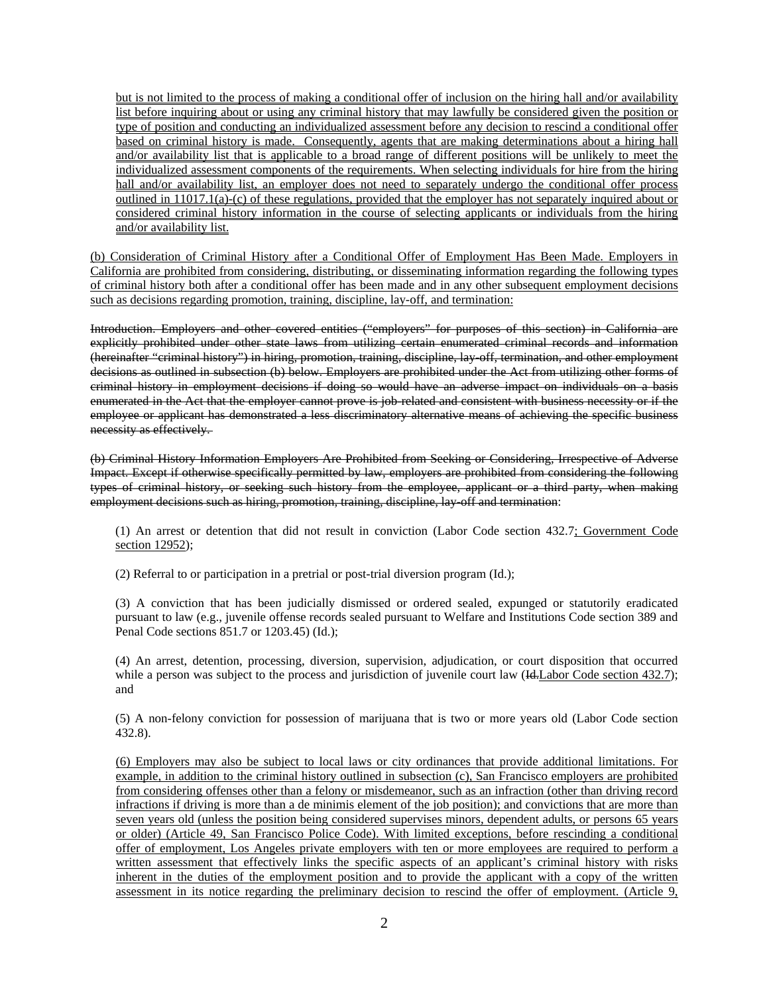but is not limited to the process of making a conditional offer of inclusion on the hiring hall and/or availability list before inquiring about or using any criminal history that may lawfully be considered given the position or type of position and conducting an individualized assessment before any decision to rescind a conditional offer based on criminal history is made. Consequently, agents that are making determinations about a hiring hall and/or availability list that is applicable to a broad range of different positions will be unlikely to meet the individualized assessment components of the requirements. When selecting individuals for hire from the hiring hall and/or availability list, an employer does not need to separately undergo the conditional offer process outlined in 11017.1(a)-(c) of these regulations, provided that the employer has not separately inquired about or considered criminal history information in the course of selecting applicants or individuals from the hiring and/or availability list.

(b) Consideration of Criminal History after a Conditional Offer of Employment Has Been Made. Employers in California are prohibited from considering, distributing, or disseminating information regarding the following types of criminal history both after a conditional offer has been made and in any other subsequent employment decisions such as decisions regarding promotion, training, discipline, lay-off, and termination:

Introduction. Employers and other covered entities ("employers" for purposes of this section) in California are explicitly prohibited under other state laws from utilizing certain enumerated criminal records and information (hereinafter "criminal history") in hiring, promotion, training, discipline, lay-off, termination, and other employment decisions as outlined in subsection (b) below. Employers are prohibited under the Act from utilizing other forms of criminal history in employment decisions if doing so would have an adverse impact on individuals on a basis enumerated in the Act that the employer cannot prove is job-related and consistent with business necessity or if the employee or applicant has demonstrated a less discriminatory alternative means of achieving the specific business necessity as effectively.

(b) Criminal History Information Employers Are Prohibited from Seeking or Considering, Irrespective of Adverse Impact. Except if otherwise specifically permitted by law, employers are prohibited from considering the following types of criminal history, or seeking such history from the employee, applicant or a third party, when making employment decisions such as hiring, promotion, training, discipline, lay off and termination:

(1) An arrest or detention that did not result in conviction (Labor Code section 432.7; Government Code section 12952);

(2) Referral to or participation in a pretrial or post-trial diversion program (Id.);

(3) A conviction that has been judicially dismissed or ordered sealed, expunged or statutorily eradicated pursuant to law (e.g., juvenile offense records sealed pursuant to Welfare and Institutions Code section 389 and Penal Code sections 851.7 or 1203.45) (Id.);

(4) An arrest, detention, processing, diversion, supervision, adjudication, or court disposition that occurred while a person was subject to the process and jurisdiction of juvenile court law (Id. Labor Code section 432.7); and

(5) A non-felony conviction for possession of marijuana that is two or more years old (Labor Code section 432.8).

(6) Employers may also be subject to local laws or city ordinances that provide additional limitations. For example, in addition to the criminal history outlined in subsection (c), San Francisco employers are prohibited from considering offenses other than a felony or misdemeanor, such as an infraction (other than driving record infractions if driving is more than a de minimis element of the job position); and convictions that are more than seven years old (unless the position being considered supervises minors, dependent adults, or persons 65 years or older) (Article 49, San Francisco Police Code). With limited exceptions, before rescinding a conditional offer of employment, Los Angeles private employers with ten or more employees are required to perform a written assessment that effectively links the specific aspects of an applicant's criminal history with risks inherent in the duties of the employment position and to provide the applicant with a copy of the written assessment in its notice regarding the preliminary decision to rescind the offer of employment. (Article 9,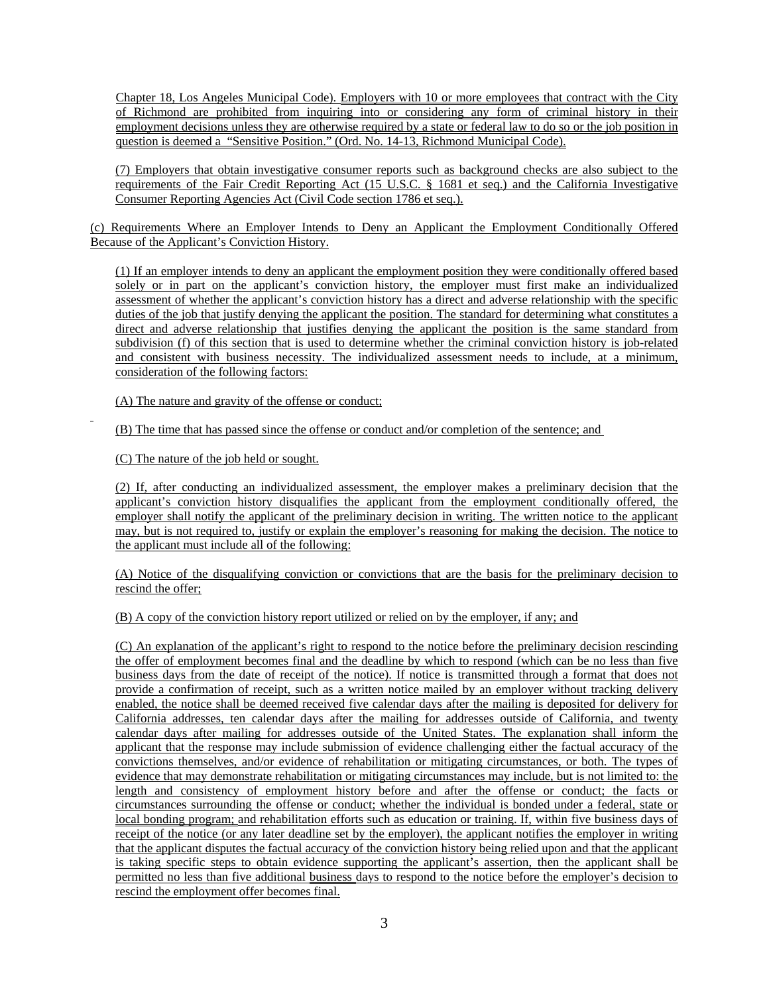Chapter 18, Los Angeles Municipal Code). Employers with 10 or more employees that contract with the City of Richmond are prohibited from inquiring into or considering any form of criminal history in their employment decisions unless they are otherwise required by a state or federal law to do so or the job position in question is deemed a "Sensitive Position." (Ord. No. 14-13, Richmond Municipal Code).

(7) Employers that obtain investigative consumer reports such as background checks are also subject to the requirements of the Fair Credit Reporting Act (15 U.S.C. § 1681 et seq.) and the California Investigative Consumer Reporting Agencies Act (Civil Code section 1786 et seq.).

(c) Requirements Where an Employer Intends to Deny an Applicant the Employment Conditionally Offered Because of the Applicant's Conviction History.

(1) If an employer intends to deny an applicant the employment position they were conditionally offered based solely or in part on the applicant's conviction history, the employer must first make an individualized assessment of whether the applicant's conviction history has a direct and adverse relationship with the specific duties of the job that justify denying the applicant the position. The standard for determining what constitutes a direct and adverse relationship that justifies denying the applicant the position is the same standard from subdivision (f) of this section that is used to determine whether the criminal conviction history is job-related and consistent with business necessity. The individualized assessment needs to include, at a minimum, consideration of the following factors:

(A) The nature and gravity of the offense or conduct;

(B) The time that has passed since the offense or conduct and/or completion of the sentence; and

(C) The nature of the job held or sought.

l

(2) If, after conducting an individualized assessment, the employer makes a preliminary decision that the applicant's conviction history disqualifies the applicant from the employment conditionally offered, the employer shall notify the applicant of the preliminary decision in writing. The written notice to the applicant may, but is not required to, justify or explain the employer's reasoning for making the decision. The notice to the applicant must include all of the following:

(A) Notice of the disqualifying conviction or convictions that are the basis for the preliminary decision to rescind the offer;

(B) A copy of the conviction history report utilized or relied on by the employer, if any; and

(C) An explanation of the applicant's right to respond to the notice before the preliminary decision rescinding the offer of employment becomes final and the deadline by which to respond (which can be no less than five business days from the date of receipt of the notice). If notice is transmitted through a format that does not provide a confirmation of receipt, such as a written notice mailed by an employer without tracking delivery enabled, the notice shall be deemed received five calendar days after the mailing is deposited for delivery for California addresses, ten calendar days after the mailing for addresses outside of California, and twenty calendar days after mailing for addresses outside of the United States. The explanation shall inform the applicant that the response may include submission of evidence challenging either the factual accuracy of the convictions themselves, and/or evidence of rehabilitation or mitigating circumstances, or both. The types of evidence that may demonstrate rehabilitation or mitigating circumstances may include, but is not limited to: the length and consistency of employment history before and after the offense or conduct; the facts or circumstances surrounding the offense or conduct; whether the individual is bonded under a federal, state or local bonding program; and rehabilitation efforts such as education or training. If, within five business days of receipt of the notice (or any later deadline set by the employer), the applicant notifies the employer in writing that the applicant disputes the factual accuracy of the conviction history being relied upon and that the applicant is taking specific steps to obtain evidence supporting the applicant's assertion, then the applicant shall be permitted no less than five additional business days to respond to the notice before the employer's decision to rescind the employment offer becomes final.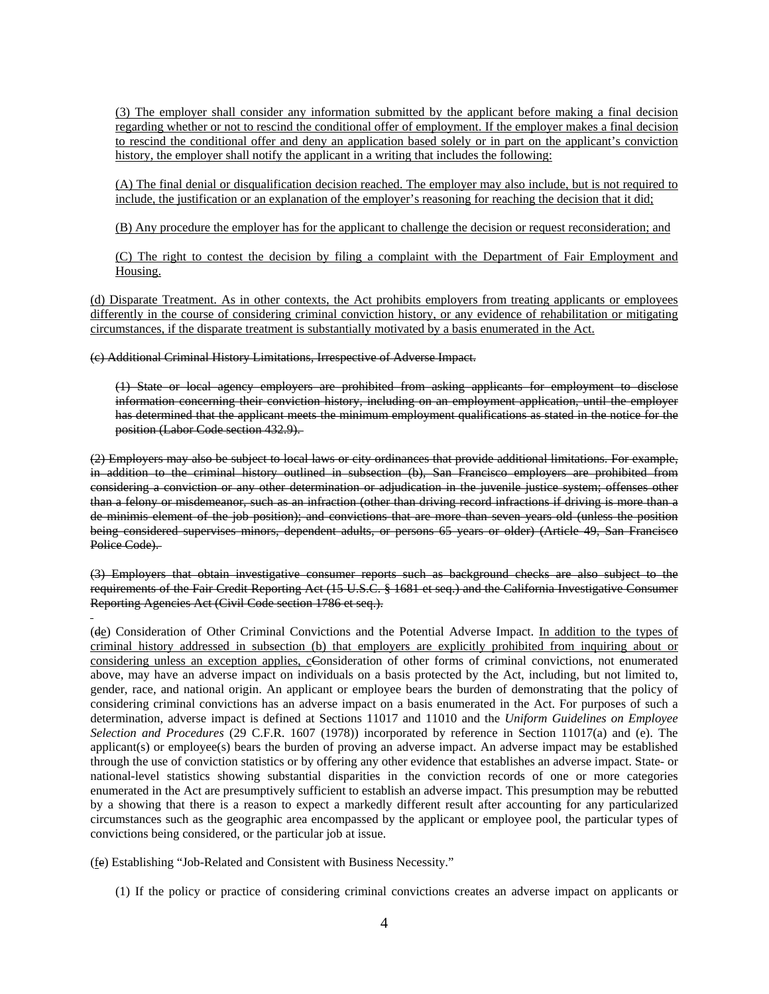(3) The employer shall consider any information submitted by the applicant before making a final decision regarding whether or not to rescind the conditional offer of employment. If the employer makes a final decision to rescind the conditional offer and deny an application based solely or in part on the applicant's conviction history, the employer shall notify the applicant in a writing that includes the following:

(A) The final denial or disqualification decision reached. The employer may also include, but is not required to include, the justification or an explanation of the employer's reasoning for reaching the decision that it did;

(B) Any procedure the employer has for the applicant to challenge the decision or request reconsideration; and

(C) The right to contest the decision by filing a complaint with the Department of Fair Employment and Housing.

(d) Disparate Treatment. As in other contexts, the Act prohibits employers from treating applicants or employees differently in the course of considering criminal conviction history, or any evidence of rehabilitation or mitigating circumstances, if the disparate treatment is substantially motivated by a basis enumerated in the Act.

(c) Additional Criminal History Limitations, Irrespective of Adverse Impact.

(1) State or local agency employers are prohibited from asking applicants for employment to disclose information concerning their conviction history, including on an employment application, until the employer has determined that the applicant meets the minimum employment qualifications as stated in the notice for the position (Labor Code section 432.9).

(2) Employers may also be subject to local laws or city ordinances that provide additional limitations. For example, in addition to the criminal history outlined in subsection (b), San Francisco employers are prohibited from considering a conviction or any other determination or adjudication in the juvenile justice system; offenses other than a felony or misdemeanor, such as an infraction (other than driving record infractions if driving is more than a de minimis element of the job position); and convictions that are more than seven years old (unless the position being considered supervises minors, dependent adults, or persons 65 years or older) (Article 49, San Francisco Police Code).

(3) Employers that obtain investigative consumer reports such as background checks are also subject to the requirements of the Fair Credit Reporting Act (15 U.S.C. § 1681 et seq.) and the California Investigative Consumer Reporting Agencies Act (Civil Code section 1786 et seq.).

(de) Consideration of Other Criminal Convictions and the Potential Adverse Impact. In addition to the types of criminal history addressed in subsection (b) that employers are explicitly prohibited from inquiring about or considering unless an exception applies, cConsideration of other forms of criminal convictions, not enumerated above, may have an adverse impact on individuals on a basis protected by the Act, including, but not limited to, gender, race, and national origin. An applicant or employee bears the burden of demonstrating that the policy of considering criminal convictions has an adverse impact on a basis enumerated in the Act. For purposes of such a determination, adverse impact is defined at Sections 11017 and 11010 and the *Uniform Guidelines on Employee Selection and Procedures* (29 C.F.R. 1607 (1978)) incorporated by reference in Section 11017(a) and (e). The applicant(s) or employee(s) bears the burden of proving an adverse impact. An adverse impact may be established through the use of conviction statistics or by offering any other evidence that establishes an adverse impact. State- or national-level statistics showing substantial disparities in the conviction records of one or more categories enumerated in the Act are presumptively sufficient to establish an adverse impact. This presumption may be rebutted by a showing that there is a reason to expect a markedly different result after accounting for any particularized circumstances such as the geographic area encompassed by the applicant or employee pool, the particular types of convictions being considered, or the particular job at issue.

(fe) Establishing "Job-Related and Consistent with Business Necessity."

 $\overline{a}$ 

(1) If the policy or practice of considering criminal convictions creates an adverse impact on applicants or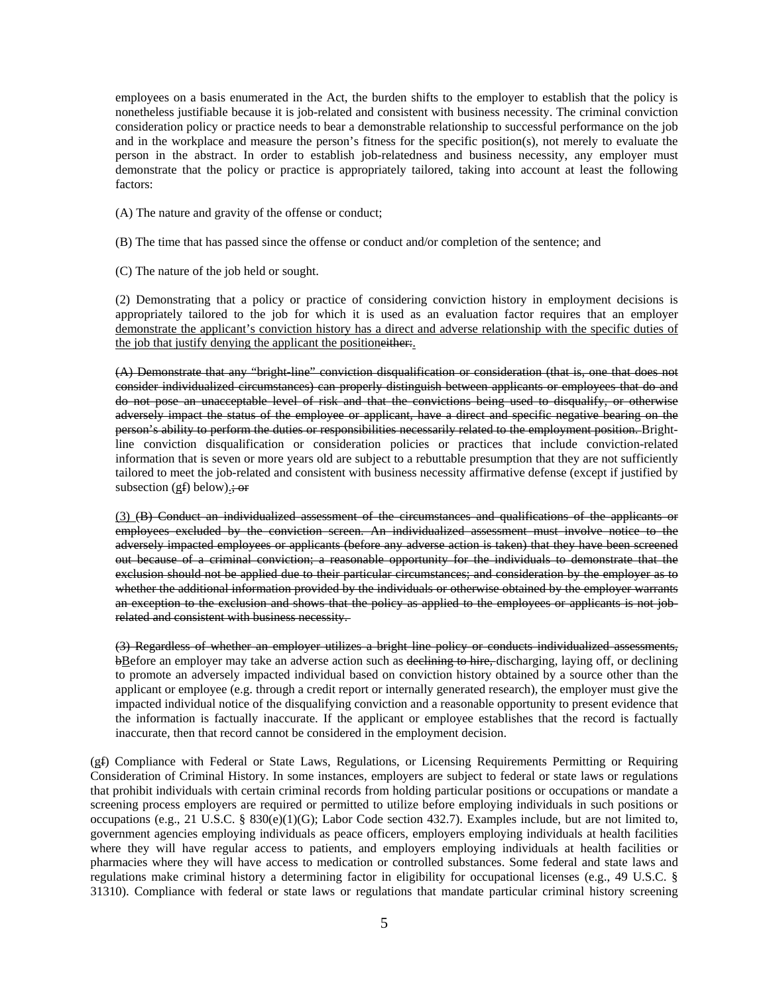employees on a basis enumerated in the Act, the burden shifts to the employer to establish that the policy is nonetheless justifiable because it is job-related and consistent with business necessity. The criminal conviction consideration policy or practice needs to bear a demonstrable relationship to successful performance on the job and in the workplace and measure the person's fitness for the specific position(s), not merely to evaluate the person in the abstract. In order to establish job-relatedness and business necessity, any employer must demonstrate that the policy or practice is appropriately tailored, taking into account at least the following factors:

- (A) The nature and gravity of the offense or conduct;
- (B) The time that has passed since the offense or conduct and/or completion of the sentence; and
- (C) The nature of the job held or sought.

(2) Demonstrating that a policy or practice of considering conviction history in employment decisions is appropriately tailored to the job for which it is used as an evaluation factor requires that an employer demonstrate the applicant's conviction history has a direct and adverse relationship with the specific duties of the job that justify denying the applicant the position either.

(A) Demonstrate that any "bright-line" conviction disqualification or consideration (that is, one that does not consider individualized circumstances) can properly distinguish between applicants or employees that do and do not pose an unacceptable level of risk and that the convictions being used to disqualify, or otherwise adversely impact the status of the employee or applicant, have a direct and specific negative bearing on the person's ability to perform the duties or responsibilities necessarily related to the employment position. Brightline conviction disqualification or consideration policies or practices that include conviction-related information that is seven or more years old are subject to a rebuttable presumption that they are not sufficiently tailored to meet the job-related and consistent with business necessity affirmative defense (except if justified by subsection (gf) below).; or

(3) (B) Conduct an individualized assessment of the circumstances and qualifications of the applicants or employees excluded by the conviction screen. An individualized assessment must involve notice to the adversely impacted employees or applicants (before any adverse action is taken) that they have been screened out because of a criminal conviction; a reasonable opportunity for the individuals to demonstrate that the exclusion should not be applied due to their particular circumstances; and consideration by the employer as to whether the additional information provided by the individuals or otherwise obtained by the employer warrants an exception to the exclusion and shows that the policy as applied to the employees or applicants is not jobrelated and consistent with business necessity.

(3) Regardless of whether an employer utilizes a bright line policy or conducts individualized assessments, bBefore an employer may take an adverse action such as declining to hire, discharging, laying off, or declining to promote an adversely impacted individual based on conviction history obtained by a source other than the applicant or employee (e.g. through a credit report or internally generated research), the employer must give the impacted individual notice of the disqualifying conviction and a reasonable opportunity to present evidence that the information is factually inaccurate. If the applicant or employee establishes that the record is factually inaccurate, then that record cannot be considered in the employment decision.

(gf) Compliance with Federal or State Laws, Regulations, or Licensing Requirements Permitting or Requiring Consideration of Criminal History. In some instances, employers are subject to federal or state laws or regulations that prohibit individuals with certain criminal records from holding particular positions or occupations or mandate a screening process employers are required or permitted to utilize before employing individuals in such positions or occupations (e.g., 21 U.S.C. § 830(e)(1)(G); Labor Code section 432.7). Examples include, but are not limited to, government agencies employing individuals as peace officers, employers employing individuals at health facilities where they will have regular access to patients, and employers employing individuals at health facilities or pharmacies where they will have access to medication or controlled substances. Some federal and state laws and regulations make criminal history a determining factor in eligibility for occupational licenses (e.g., 49 U.S.C. § 31310). Compliance with federal or state laws or regulations that mandate particular criminal history screening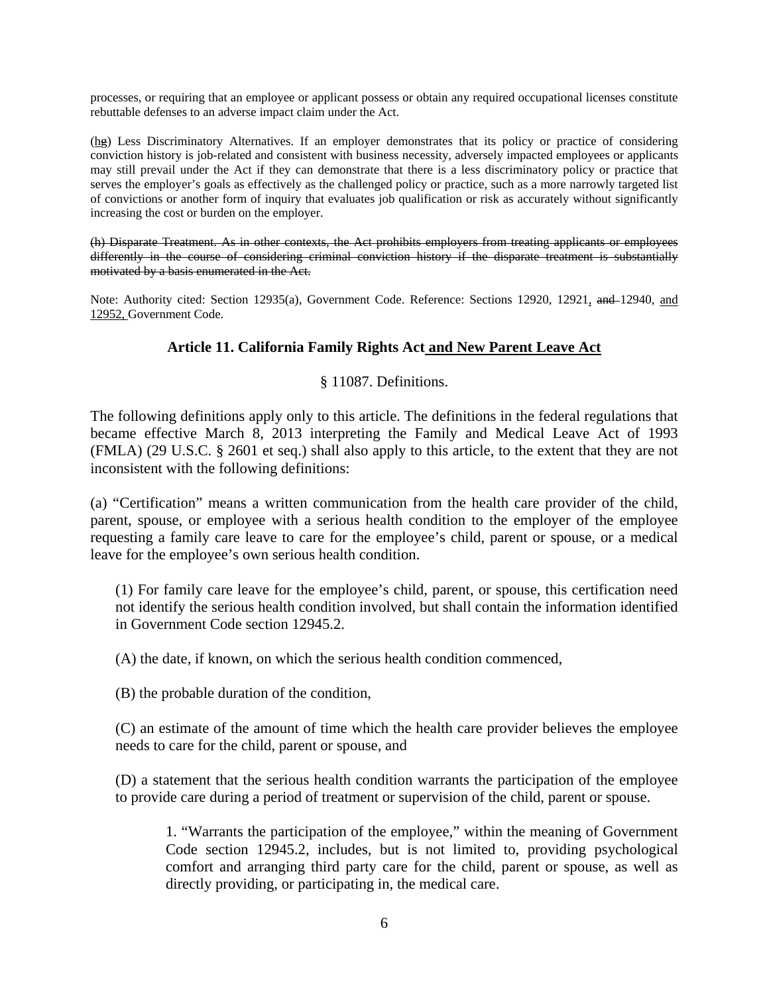processes, or requiring that an employee or applicant possess or obtain any required occupational licenses constitute rebuttable defenses to an adverse impact claim under the Act.

(hg) Less Discriminatory Alternatives. If an employer demonstrates that its policy or practice of considering conviction history is job-related and consistent with business necessity, adversely impacted employees or applicants may still prevail under the Act if they can demonstrate that there is a less discriminatory policy or practice that serves the employer's goals as effectively as the challenged policy or practice, such as a more narrowly targeted list of convictions or another form of inquiry that evaluates job qualification or risk as accurately without significantly increasing the cost or burden on the employer.

(h) Disparate Treatment. As in other contexts, the Act prohibits employers from treating applicants or employees differently in the course of considering criminal conviction history if the disparate treatment is substantially motivated by a basis enumerated in the Act.

Note: Authority cited: Section 12935(a), Government Code. Reference: Sections 12920, 12921, and 12940, and 12952, Government Code.

#### **Article 11. California Family Rights Act and New Parent Leave Act**

#### § 11087. Definitions.

The following definitions apply only to this article. The definitions in the federal regulations that became effective March 8, 2013 interpreting the Family and Medical Leave Act of 1993 (FMLA) (29 U.S.C. § 2601 et seq.) shall also apply to this article, to the extent that they are not inconsistent with the following definitions:

(a) "Certification" means a written communication from the health care provider of the child, parent, spouse, or employee with a serious health condition to the employer of the employee requesting a family care leave to care for the employee's child, parent or spouse, or a medical leave for the employee's own serious health condition.

(1) For family care leave for the employee's child, parent, or spouse, this certification need not identify the serious health condition involved, but shall contain the information identified in Government Code section 12945.2.

(A) the date, if known, on which the serious health condition commenced,

(B) the probable duration of the condition,

(C) an estimate of the amount of time which the health care provider believes the employee needs to care for the child, parent or spouse, and

(D) a statement that the serious health condition warrants the participation of the employee to provide care during a period of treatment or supervision of the child, parent or spouse.

1. "Warrants the participation of the employee," within the meaning of Government Code section 12945.2, includes, but is not limited to, providing psychological comfort and arranging third party care for the child, parent or spouse, as well as directly providing, or participating in, the medical care.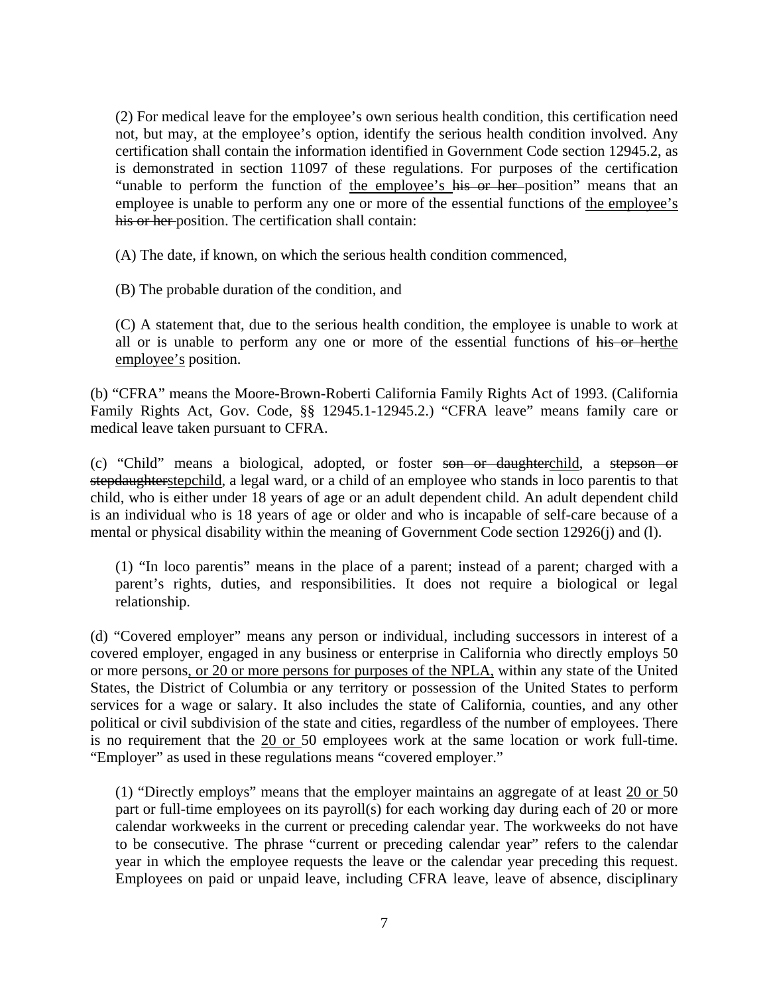(2) For medical leave for the employee's own serious health condition, this certification need not, but may, at the employee's option, identify the serious health condition involved. Any certification shall contain the information identified in Government Code section 12945.2, as is demonstrated in section 11097 of these regulations. For purposes of the certification "unable to perform the function of the employee's his or her position" means that an employee is unable to perform any one or more of the essential functions of the employee's his or her position. The certification shall contain:

(A) The date, if known, on which the serious health condition commenced,

(B) The probable duration of the condition, and

(C) A statement that, due to the serious health condition, the employee is unable to work at all or is unable to perform any one or more of the essential functions of his or herthe employee's position.

(b) "CFRA" means the Moore-Brown-Roberti California Family Rights Act of 1993. (California Family Rights Act, Gov. Code, §§ 12945.1-12945.2.) "CFRA leave" means family care or medical leave taken pursuant to CFRA.

(c) "Child" means a biological, adopted, or foster son or daughterchild, a stepson or stepdaughterstepchild, a legal ward, or a child of an employee who stands in loco parentis to that child, who is either under 18 years of age or an adult dependent child. An adult dependent child is an individual who is 18 years of age or older and who is incapable of self-care because of a mental or physical disability within the meaning of Government Code section 12926(j) and (l).

(1) "In loco parentis" means in the place of a parent; instead of a parent; charged with a parent's rights, duties, and responsibilities. It does not require a biological or legal relationship.

(d) "Covered employer" means any person or individual, including successors in interest of a covered employer, engaged in any business or enterprise in California who directly employs 50 or more persons, or 20 or more persons for purposes of the NPLA, within any state of the United States, the District of Columbia or any territory or possession of the United States to perform services for a wage or salary. It also includes the state of California, counties, and any other political or civil subdivision of the state and cities, regardless of the number of employees. There is no requirement that the 20 or 50 employees work at the same location or work full-time. "Employer" as used in these regulations means "covered employer."

(1) "Directly employs" means that the employer maintains an aggregate of at least 20 or 50 part or full-time employees on its payroll(s) for each working day during each of 20 or more calendar workweeks in the current or preceding calendar year. The workweeks do not have to be consecutive. The phrase "current or preceding calendar year" refers to the calendar year in which the employee requests the leave or the calendar year preceding this request. Employees on paid or unpaid leave, including CFRA leave, leave of absence, disciplinary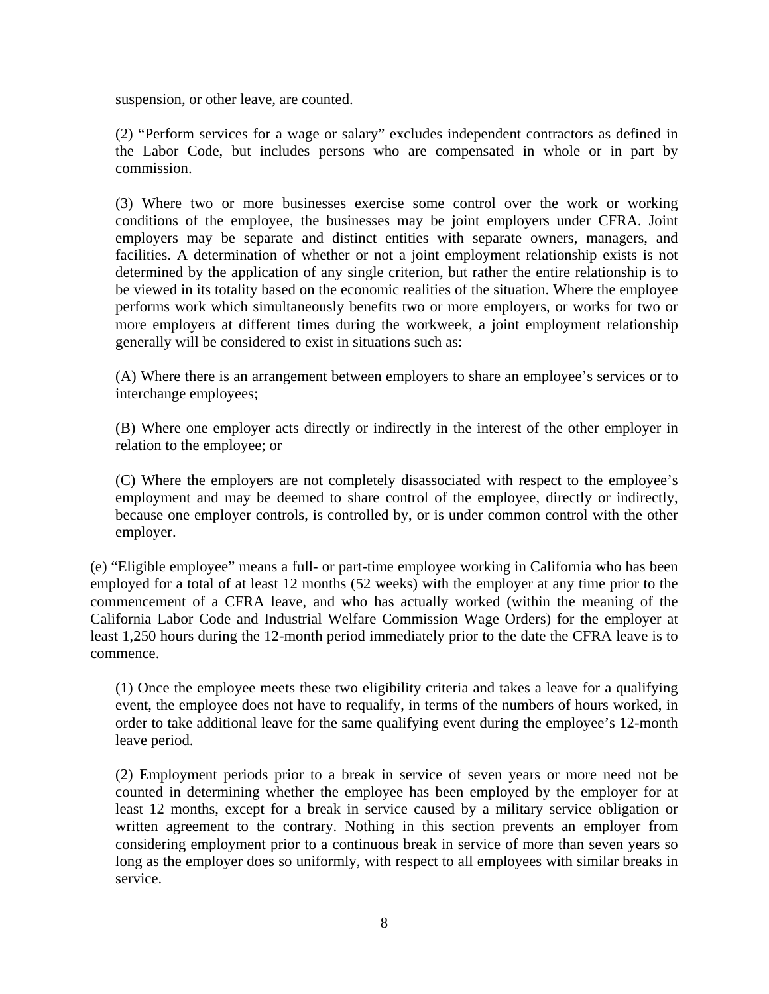suspension, or other leave, are counted.

(2) "Perform services for a wage or salary" excludes independent contractors as defined in the Labor Code, but includes persons who are compensated in whole or in part by commission.

(3) Where two or more businesses exercise some control over the work or working conditions of the employee, the businesses may be joint employers under CFRA. Joint employers may be separate and distinct entities with separate owners, managers, and facilities. A determination of whether or not a joint employment relationship exists is not determined by the application of any single criterion, but rather the entire relationship is to be viewed in its totality based on the economic realities of the situation. Where the employee performs work which simultaneously benefits two or more employers, or works for two or more employers at different times during the workweek, a joint employment relationship generally will be considered to exist in situations such as:

(A) Where there is an arrangement between employers to share an employee's services or to interchange employees;

(B) Where one employer acts directly or indirectly in the interest of the other employer in relation to the employee; or

(C) Where the employers are not completely disassociated with respect to the employee's employment and may be deemed to share control of the employee, directly or indirectly, because one employer controls, is controlled by, or is under common control with the other employer.

(e) "Eligible employee" means a full- or part-time employee working in California who has been employed for a total of at least 12 months (52 weeks) with the employer at any time prior to the commencement of a CFRA leave, and who has actually worked (within the meaning of the California Labor Code and Industrial Welfare Commission Wage Orders) for the employer at least 1,250 hours during the 12-month period immediately prior to the date the CFRA leave is to commence.

(1) Once the employee meets these two eligibility criteria and takes a leave for a qualifying event, the employee does not have to requalify, in terms of the numbers of hours worked, in order to take additional leave for the same qualifying event during the employee's 12-month leave period.

(2) Employment periods prior to a break in service of seven years or more need not be counted in determining whether the employee has been employed by the employer for at least 12 months, except for a break in service caused by a military service obligation or written agreement to the contrary. Nothing in this section prevents an employer from considering employment prior to a continuous break in service of more than seven years so long as the employer does so uniformly, with respect to all employees with similar breaks in service.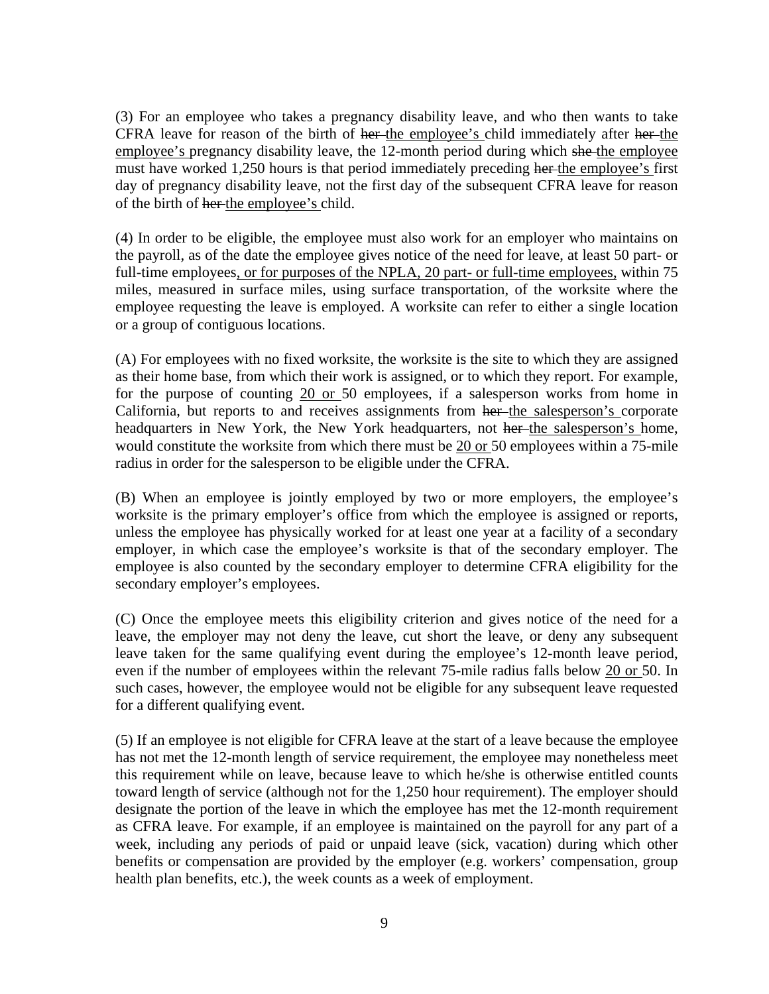(3) For an employee who takes a pregnancy disability leave, and who then wants to take CFRA leave for reason of the birth of her the employee's child immediately after her the employee's pregnancy disability leave, the 12-month period during which she the employee must have worked 1,250 hours is that period immediately preceding her the employee's first day of pregnancy disability leave, not the first day of the subsequent CFRA leave for reason of the birth of her the employee's child.

(4) In order to be eligible, the employee must also work for an employer who maintains on the payroll, as of the date the employee gives notice of the need for leave, at least 50 part- or full-time employees, or for purposes of the NPLA, 20 part- or full-time employees, within 75 miles, measured in surface miles, using surface transportation, of the worksite where the employee requesting the leave is employed. A worksite can refer to either a single location or a group of contiguous locations.

(A) For employees with no fixed worksite, the worksite is the site to which they are assigned as their home base, from which their work is assigned, or to which they report. For example, for the purpose of counting 20 or 50 employees, if a salesperson works from home in California, but reports to and receives assignments from her the salesperson's corporate headquarters in New York, the New York headquarters, not her the salesperson's home, would constitute the worksite from which there must be 20 or 50 employees within a 75-mile radius in order for the salesperson to be eligible under the CFRA.

(B) When an employee is jointly employed by two or more employers, the employee's worksite is the primary employer's office from which the employee is assigned or reports, unless the employee has physically worked for at least one year at a facility of a secondary employer, in which case the employee's worksite is that of the secondary employer. The employee is also counted by the secondary employer to determine CFRA eligibility for the secondary employer's employees.

(C) Once the employee meets this eligibility criterion and gives notice of the need for a leave, the employer may not deny the leave, cut short the leave, or deny any subsequent leave taken for the same qualifying event during the employee's 12-month leave period, even if the number of employees within the relevant 75-mile radius falls below 20 or 50. In such cases, however, the employee would not be eligible for any subsequent leave requested for a different qualifying event.

(5) If an employee is not eligible for CFRA leave at the start of a leave because the employee has not met the 12-month length of service requirement, the employee may nonetheless meet this requirement while on leave, because leave to which he/she is otherwise entitled counts toward length of service (although not for the 1,250 hour requirement). The employer should designate the portion of the leave in which the employee has met the 12-month requirement as CFRA leave. For example, if an employee is maintained on the payroll for any part of a week, including any periods of paid or unpaid leave (sick, vacation) during which other benefits or compensation are provided by the employer (e.g. workers' compensation, group health plan benefits, etc.), the week counts as a week of employment.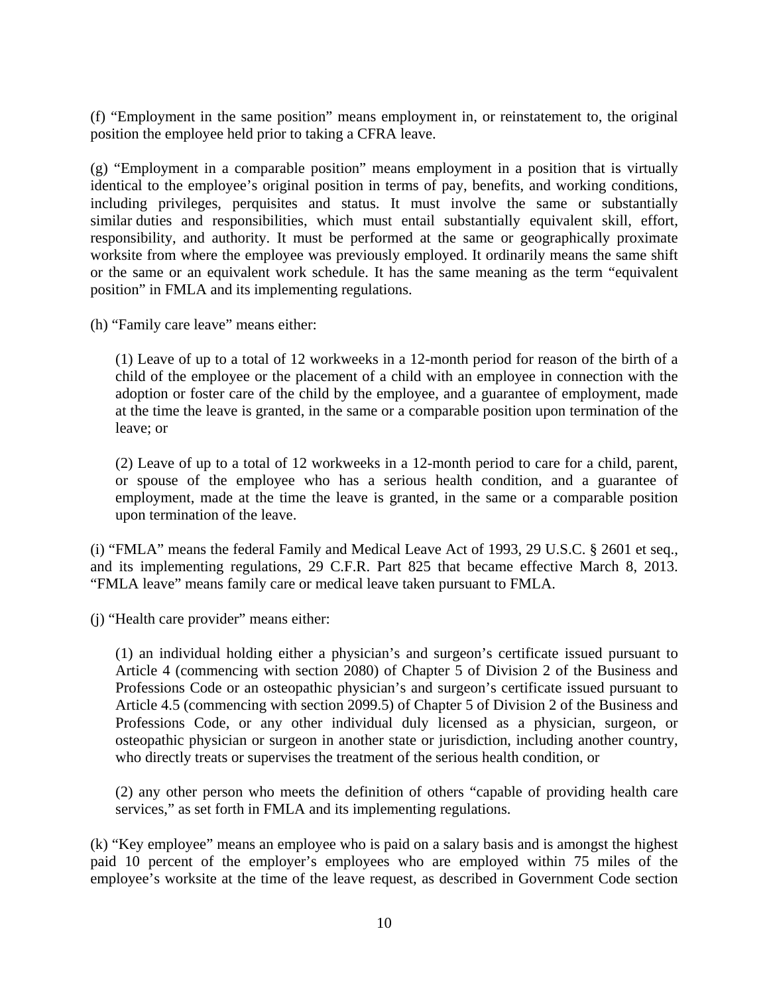(f) "Employment in the same position" means employment in, or reinstatement to, the original position the employee held prior to taking a CFRA leave.

(g) "Employment in a comparable position" means employment in a position that is virtually identical to the employee's original position in terms of pay, benefits, and working conditions, including privileges, perquisites and status. It must involve the same or substantially similar duties and responsibilities, which must entail substantially equivalent skill, effort, responsibility, and authority. It must be performed at the same or geographically proximate worksite from where the employee was previously employed. It ordinarily means the same shift or the same or an equivalent work schedule. It has the same meaning as the term "equivalent position" in FMLA and its implementing regulations.

(h) "Family care leave" means either:

(1) Leave of up to a total of 12 workweeks in a 12-month period for reason of the birth of a child of the employee or the placement of a child with an employee in connection with the adoption or foster care of the child by the employee, and a guarantee of employment, made at the time the leave is granted, in the same or a comparable position upon termination of the leave; or

(2) Leave of up to a total of 12 workweeks in a 12-month period to care for a child, parent, or spouse of the employee who has a serious health condition, and a guarantee of employment, made at the time the leave is granted, in the same or a comparable position upon termination of the leave.

(i) "FMLA" means the federal Family and Medical Leave Act of 1993, 29 U.S.C. § 2601 et seq., and its implementing regulations, 29 C.F.R. Part 825 that became effective March 8, 2013. "FMLA leave" means family care or medical leave taken pursuant to FMLA.

(j) "Health care provider" means either:

(1) an individual holding either a physician's and surgeon's certificate issued pursuant to Article 4 (commencing with section 2080) of Chapter 5 of Division 2 of the Business and Professions Code or an osteopathic physician's and surgeon's certificate issued pursuant to Article 4.5 (commencing with section 2099.5) of Chapter 5 of Division 2 of the Business and Professions Code, or any other individual duly licensed as a physician, surgeon, or osteopathic physician or surgeon in another state or jurisdiction, including another country, who directly treats or supervises the treatment of the serious health condition, or

(2) any other person who meets the definition of others "capable of providing health care services," as set forth in FMLA and its implementing regulations.

(k) "Key employee" means an employee who is paid on a salary basis and is amongst the highest paid 10 percent of the employer's employees who are employed within 75 miles of the employee's worksite at the time of the leave request, as described in Government Code section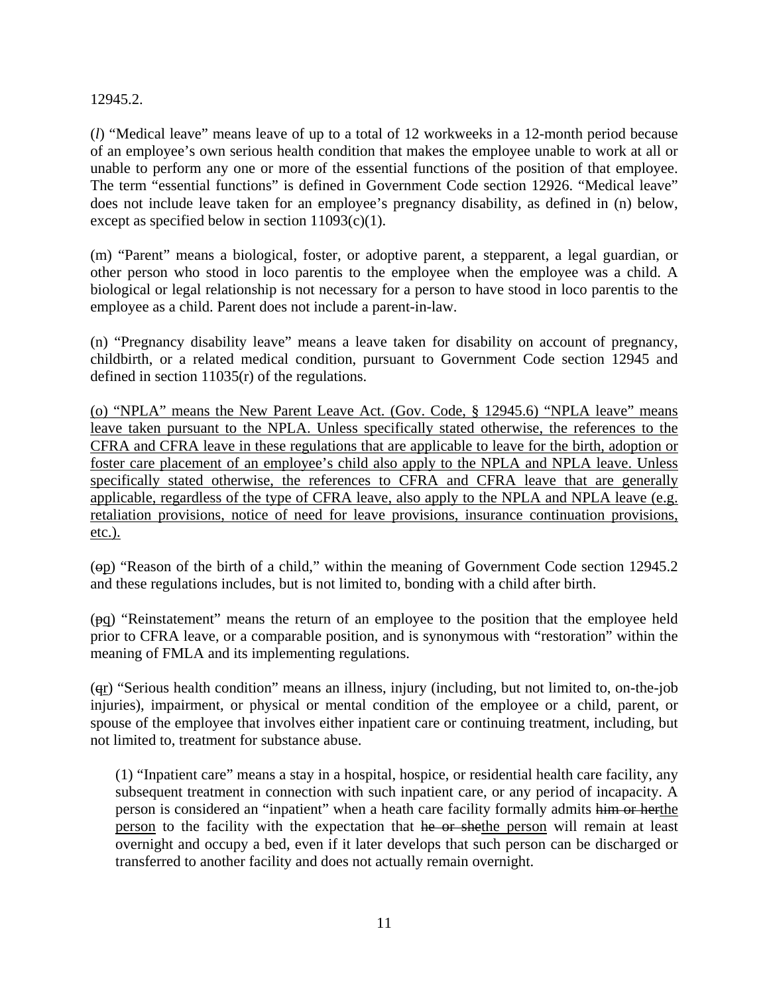## 12945.2.

(*l*) "Medical leave" means leave of up to a total of 12 workweeks in a 12-month period because of an employee's own serious health condition that makes the employee unable to work at all or unable to perform any one or more of the essential functions of the position of that employee. The term "essential functions" is defined in Government Code section 12926. "Medical leave" does not include leave taken for an employee's pregnancy disability, as defined in (n) below, except as specified below in section 11093(c)(1).

(m) "Parent" means a biological, foster, or adoptive parent, a stepparent, a legal guardian, or other person who stood in loco parentis to the employee when the employee was a child. A biological or legal relationship is not necessary for a person to have stood in loco parentis to the employee as a child. Parent does not include a parent-in-law.

(n) "Pregnancy disability leave" means a leave taken for disability on account of pregnancy, childbirth, or a related medical condition, pursuant to Government Code section 12945 and defined in section 11035(r) of the regulations.

(o) "NPLA" means the New Parent Leave Act. (Gov. Code, § 12945.6) "NPLA leave" means leave taken pursuant to the NPLA. Unless specifically stated otherwise, the references to the CFRA and CFRA leave in these regulations that are applicable to leave for the birth, adoption or foster care placement of an employee's child also apply to the NPLA and NPLA leave. Unless specifically stated otherwise, the references to CFRA and CFRA leave that are generally applicable, regardless of the type of CFRA leave, also apply to the NPLA and NPLA leave (e.g. retaliation provisions, notice of need for leave provisions, insurance continuation provisions, etc.).

 $(9p)$  "Reason of the birth of a child," within the meaning of Government Code section 12945.2 and these regulations includes, but is not limited to, bonding with a child after birth.

(pq) "Reinstatement" means the return of an employee to the position that the employee held prior to CFRA leave, or a comparable position, and is synonymous with "restoration" within the meaning of FMLA and its implementing regulations.

(qr) "Serious health condition" means an illness, injury (including, but not limited to, on-the-job injuries), impairment, or physical or mental condition of the employee or a child, parent, or spouse of the employee that involves either inpatient care or continuing treatment, including, but not limited to, treatment for substance abuse.

(1) "Inpatient care" means a stay in a hospital, hospice, or residential health care facility, any subsequent treatment in connection with such inpatient care, or any period of incapacity. A person is considered an "inpatient" when a heath care facility formally admits him or herthe person to the facility with the expectation that he or shethe person will remain at least overnight and occupy a bed, even if it later develops that such person can be discharged or transferred to another facility and does not actually remain overnight.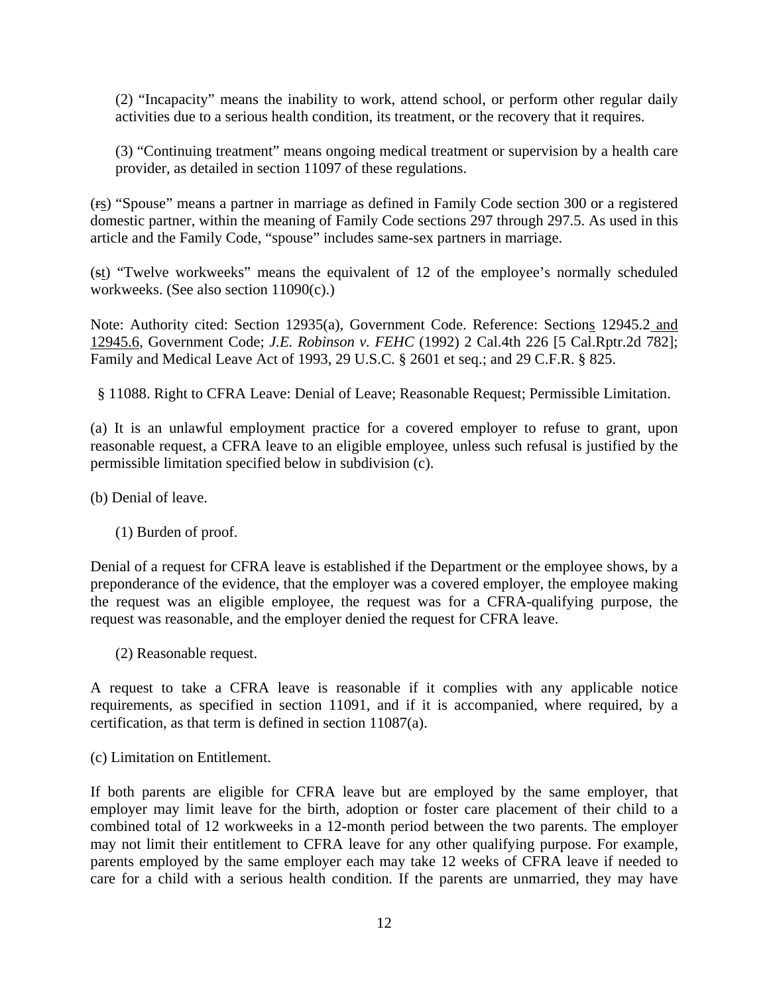(2) "Incapacity" means the inability to work, attend school, or perform other regular daily activities due to a serious health condition, its treatment, or the recovery that it requires.

(3) "Continuing treatment" means ongoing medical treatment or supervision by a health care provider, as detailed in section 11097 of these regulations.

(rs) "Spouse" means a partner in marriage as defined in Family Code section 300 or a registered domestic partner, within the meaning of Family Code sections 297 through 297.5. As used in this article and the Family Code, "spouse" includes same-sex partners in marriage.

(st) "Twelve workweeks" means the equivalent of 12 of the employee's normally scheduled workweeks. (See also section 11090(c).)

Note: Authority cited: Section 12935(a), Government Code. Reference: Sections 12945.2 and 12945.6, Government Code; *J.E. Robinson v. FEHC* (1992) 2 Cal.4th 226 [5 Cal.Rptr.2d 782]; Family and Medical Leave Act of 1993, 29 U.S.C. § 2601 et seq.; and 29 C.F.R. § 825.

§ 11088. Right to CFRA Leave: Denial of Leave; Reasonable Request; Permissible Limitation.

(a) It is an unlawful employment practice for a covered employer to refuse to grant, upon reasonable request, a CFRA leave to an eligible employee, unless such refusal is justified by the permissible limitation specified below in subdivision (c).

(b) Denial of leave.

(1) Burden of proof.

Denial of a request for CFRA leave is established if the Department or the employee shows, by a preponderance of the evidence, that the employer was a covered employer, the employee making the request was an eligible employee, the request was for a CFRA-qualifying purpose, the request was reasonable, and the employer denied the request for CFRA leave.

(2) Reasonable request.

A request to take a CFRA leave is reasonable if it complies with any applicable notice requirements, as specified in section 11091, and if it is accompanied, where required, by a certification, as that term is defined in section 11087(a).

(c) Limitation on Entitlement.

If both parents are eligible for CFRA leave but are employed by the same employer, that employer may limit leave for the birth, adoption or foster care placement of their child to a combined total of 12 workweeks in a 12-month period between the two parents. The employer may not limit their entitlement to CFRA leave for any other qualifying purpose. For example, parents employed by the same employer each may take 12 weeks of CFRA leave if needed to care for a child with a serious health condition. If the parents are unmarried, they may have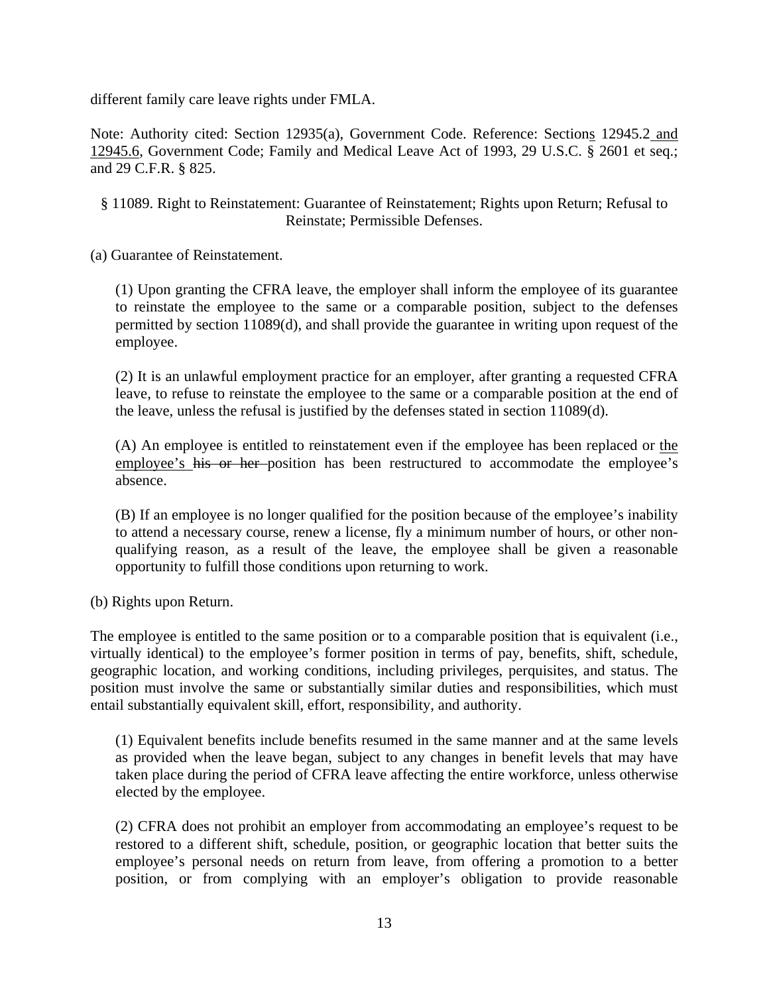different family care leave rights under FMLA.

Note: Authority cited: Section 12935(a), Government Code. Reference: Sections 12945.2 and 12945.6, Government Code; Family and Medical Leave Act of 1993, 29 U.S.C. § 2601 et seq.; and 29 C.F.R. § 825.

§ 11089. Right to Reinstatement: Guarantee of Reinstatement; Rights upon Return; Refusal to Reinstate; Permissible Defenses.

(a) Guarantee of Reinstatement.

(1) Upon granting the CFRA leave, the employer shall inform the employee of its guarantee to reinstate the employee to the same or a comparable position, subject to the defenses permitted by section 11089(d), and shall provide the guarantee in writing upon request of the employee.

(2) It is an unlawful employment practice for an employer, after granting a requested CFRA leave, to refuse to reinstate the employee to the same or a comparable position at the end of the leave, unless the refusal is justified by the defenses stated in section 11089(d).

(A) An employee is entitled to reinstatement even if the employee has been replaced or the employee's his or her position has been restructured to accommodate the employee's absence.

(B) If an employee is no longer qualified for the position because of the employee's inability to attend a necessary course, renew a license, fly a minimum number of hours, or other nonqualifying reason, as a result of the leave, the employee shall be given a reasonable opportunity to fulfill those conditions upon returning to work.

(b) Rights upon Return.

The employee is entitled to the same position or to a comparable position that is equivalent (i.e., virtually identical) to the employee's former position in terms of pay, benefits, shift, schedule, geographic location, and working conditions, including privileges, perquisites, and status. The position must involve the same or substantially similar duties and responsibilities, which must entail substantially equivalent skill, effort, responsibility, and authority.

(1) Equivalent benefits include benefits resumed in the same manner and at the same levels as provided when the leave began, subject to any changes in benefit levels that may have taken place during the period of CFRA leave affecting the entire workforce, unless otherwise elected by the employee.

(2) CFRA does not prohibit an employer from accommodating an employee's request to be restored to a different shift, schedule, position, or geographic location that better suits the employee's personal needs on return from leave, from offering a promotion to a better position, or from complying with an employer's obligation to provide reasonable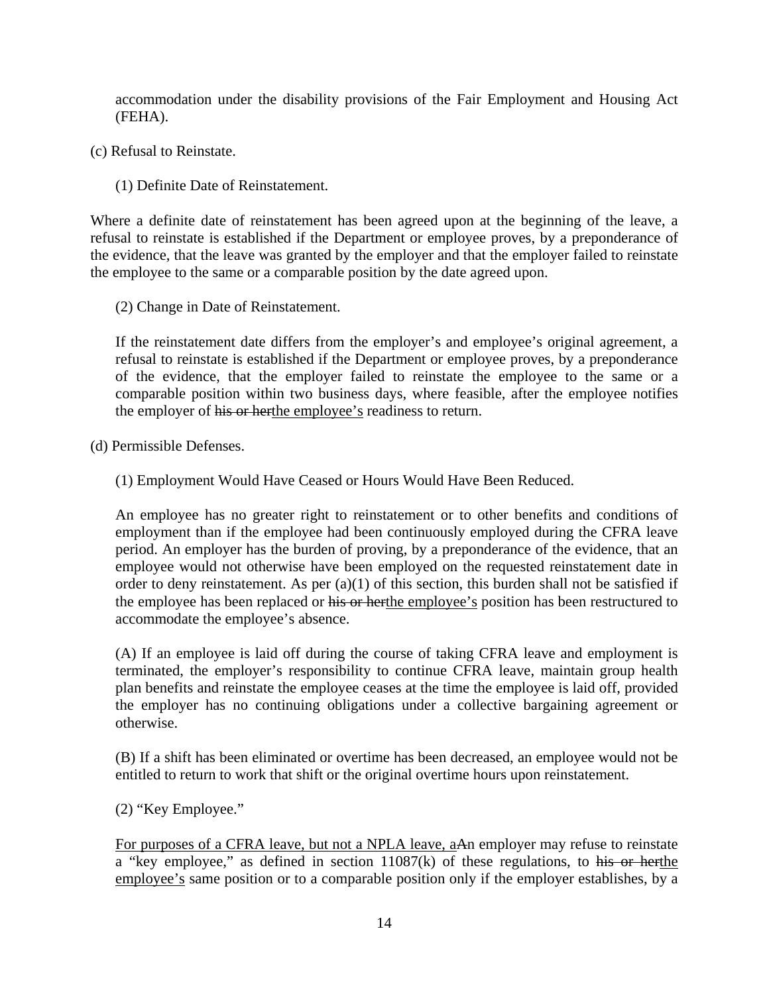accommodation under the disability provisions of the Fair Employment and Housing Act (FEHA).

(c) Refusal to Reinstate.

(1) Definite Date of Reinstatement.

Where a definite date of reinstatement has been agreed upon at the beginning of the leave, a refusal to reinstate is established if the Department or employee proves, by a preponderance of the evidence, that the leave was granted by the employer and that the employer failed to reinstate the employee to the same or a comparable position by the date agreed upon.

(2) Change in Date of Reinstatement.

If the reinstatement date differs from the employer's and employee's original agreement, a refusal to reinstate is established if the Department or employee proves, by a preponderance of the evidence, that the employer failed to reinstate the employee to the same or a comparable position within two business days, where feasible, after the employee notifies the employer of his or herthe employee's readiness to return.

(d) Permissible Defenses.

(1) Employment Would Have Ceased or Hours Would Have Been Reduced.

An employee has no greater right to reinstatement or to other benefits and conditions of employment than if the employee had been continuously employed during the CFRA leave period. An employer has the burden of proving, by a preponderance of the evidence, that an employee would not otherwise have been employed on the requested reinstatement date in order to deny reinstatement. As per (a)(1) of this section, this burden shall not be satisfied if the employee has been replaced or his or herthe employee's position has been restructured to accommodate the employee's absence.

(A) If an employee is laid off during the course of taking CFRA leave and employment is terminated, the employer's responsibility to continue CFRA leave, maintain group health plan benefits and reinstate the employee ceases at the time the employee is laid off, provided the employer has no continuing obligations under a collective bargaining agreement or otherwise.

(B) If a shift has been eliminated or overtime has been decreased, an employee would not be entitled to return to work that shift or the original overtime hours upon reinstatement.

(2) "Key Employee."

For purposes of a CFRA leave, but not a NPLA leave, aAn employer may refuse to reinstate a "key employee," as defined in  $\overline{\text{section } 11087(k)}$  of these regulations, to his or herthe employee's same position or to a comparable position only if the employer establishes, by a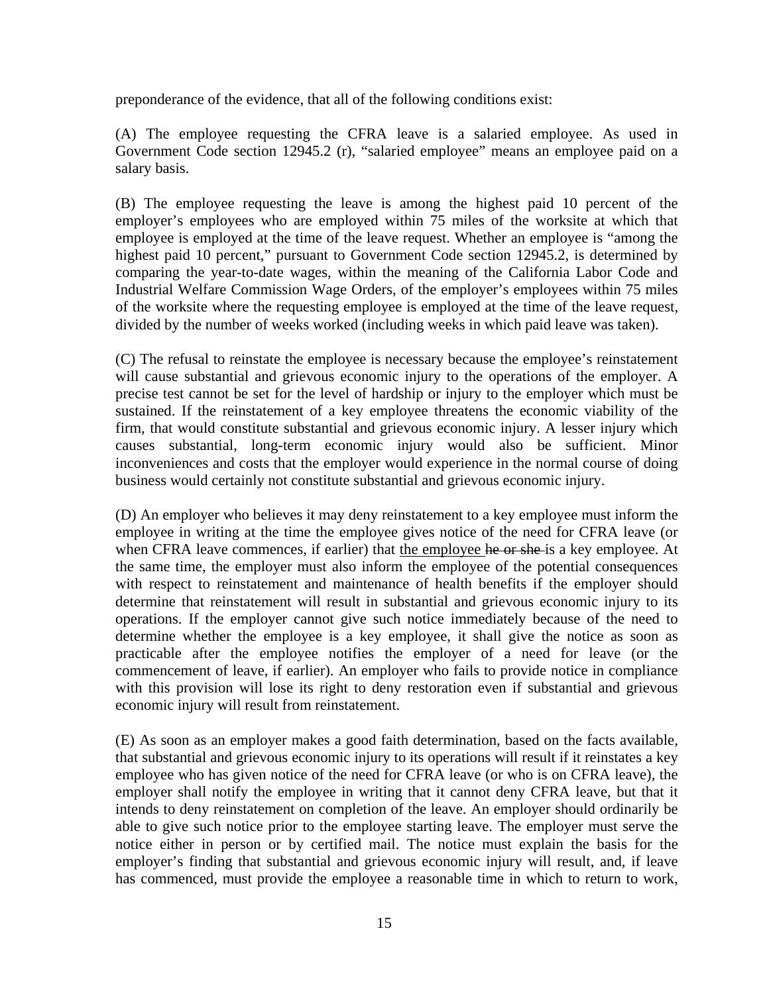preponderance of the evidence, that all of the following conditions exist:

(A) The employee requesting the CFRA leave is a salaried employee. As used in Government Code section 12945.2 (r), "salaried employee" means an employee paid on a salary basis.

(B) The employee requesting the leave is among the highest paid 10 percent of the employer's employees who are employed within 75 miles of the worksite at which that employee is employed at the time of the leave request. Whether an employee is "among the highest paid 10 percent," pursuant to Government Code section 12945.2, is determined by comparing the year-to-date wages, within the meaning of the California Labor Code and Industrial Welfare Commission Wage Orders, of the employer's employees within 75 miles of the worksite where the requesting employee is employed at the time of the leave request, divided by the number of weeks worked (including weeks in which paid leave was taken).

(C) The refusal to reinstate the employee is necessary because the employee's reinstatement will cause substantial and grievous economic injury to the operations of the employer. A precise test cannot be set for the level of hardship or injury to the employer which must be sustained. If the reinstatement of a key employee threatens the economic viability of the firm, that would constitute substantial and grievous economic injury. A lesser injury which causes substantial, long-term economic injury would also be sufficient. Minor inconveniences and costs that the employer would experience in the normal course of doing business would certainly not constitute substantial and grievous economic injury.

(D) An employer who believes it may deny reinstatement to a key employee must inform the employee in writing at the time the employee gives notice of the need for CFRA leave (or when CFRA leave commences, if earlier) that the employee he or she is a key employee. At the same time, the employer must also inform the employee of the potential consequences with respect to reinstatement and maintenance of health benefits if the employer should determine that reinstatement will result in substantial and grievous economic injury to its operations. If the employer cannot give such notice immediately because of the need to determine whether the employee is a key employee, it shall give the notice as soon as practicable after the employee notifies the employer of a need for leave (or the commencement of leave, if earlier). An employer who fails to provide notice in compliance with this provision will lose its right to deny restoration even if substantial and grievous economic injury will result from reinstatement.

(E) As soon as an employer makes a good faith determination, based on the facts available, that substantial and grievous economic injury to its operations will result if it reinstates a key employee who has given notice of the need for CFRA leave (or who is on CFRA leave), the employer shall notify the employee in writing that it cannot deny CFRA leave, but that it intends to deny reinstatement on completion of the leave. An employer should ordinarily be able to give such notice prior to the employee starting leave. The employer must serve the notice either in person or by certified mail. The notice must explain the basis for the employer's finding that substantial and grievous economic injury will result, and, if leave has commenced, must provide the employee a reasonable time in which to return to work,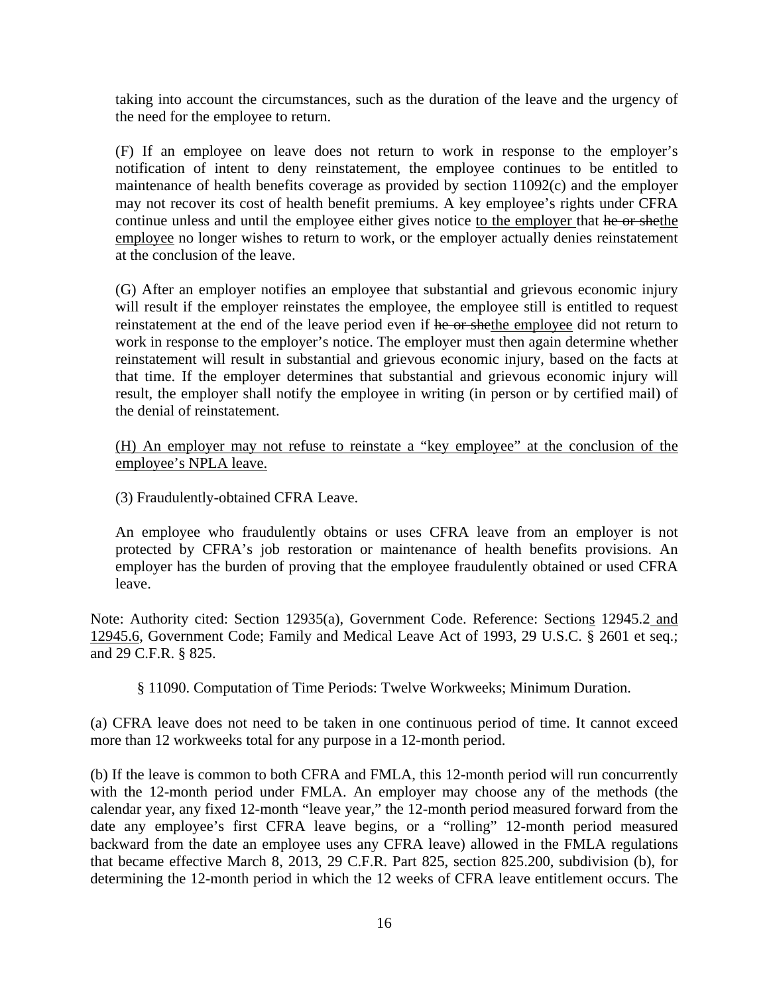taking into account the circumstances, such as the duration of the leave and the urgency of the need for the employee to return.

(F) If an employee on leave does not return to work in response to the employer's notification of intent to deny reinstatement, the employee continues to be entitled to maintenance of health benefits coverage as provided by section 11092(c) and the employer may not recover its cost of health benefit premiums. A key employee's rights under CFRA continue unless and until the employee either gives notice to the employer that he or shethe employee no longer wishes to return to work, or the employer actually denies reinstatement at the conclusion of the leave.

(G) After an employer notifies an employee that substantial and grievous economic injury will result if the employer reinstates the employee, the employee still is entitled to request reinstatement at the end of the leave period even if he or shethe employee did not return to work in response to the employer's notice. The employer must then again determine whether reinstatement will result in substantial and grievous economic injury, based on the facts at that time. If the employer determines that substantial and grievous economic injury will result, the employer shall notify the employee in writing (in person or by certified mail) of the denial of reinstatement.

(H) An employer may not refuse to reinstate a "key employee" at the conclusion of the employee's NPLA leave.

(3) Fraudulently-obtained CFRA Leave.

An employee who fraudulently obtains or uses CFRA leave from an employer is not protected by CFRA's job restoration or maintenance of health benefits provisions. An employer has the burden of proving that the employee fraudulently obtained or used CFRA leave.

Note: Authority cited: Section 12935(a), Government Code. Reference: Sections 12945.2 and 12945.6, Government Code; Family and Medical Leave Act of 1993, 29 U.S.C. § 2601 et seq.; and 29 C.F.R. § 825.

§ 11090. Computation of Time Periods: Twelve Workweeks; Minimum Duration.

(a) CFRA leave does not need to be taken in one continuous period of time. It cannot exceed more than 12 workweeks total for any purpose in a 12-month period.

(b) If the leave is common to both CFRA and FMLA, this 12-month period will run concurrently with the 12-month period under FMLA. An employer may choose any of the methods (the calendar year, any fixed 12-month "leave year," the 12-month period measured forward from the date any employee's first CFRA leave begins, or a "rolling" 12-month period measured backward from the date an employee uses any CFRA leave) allowed in the FMLA regulations that became effective March 8, 2013, 29 C.F.R. Part 825, section 825.200, subdivision (b), for determining the 12-month period in which the 12 weeks of CFRA leave entitlement occurs. The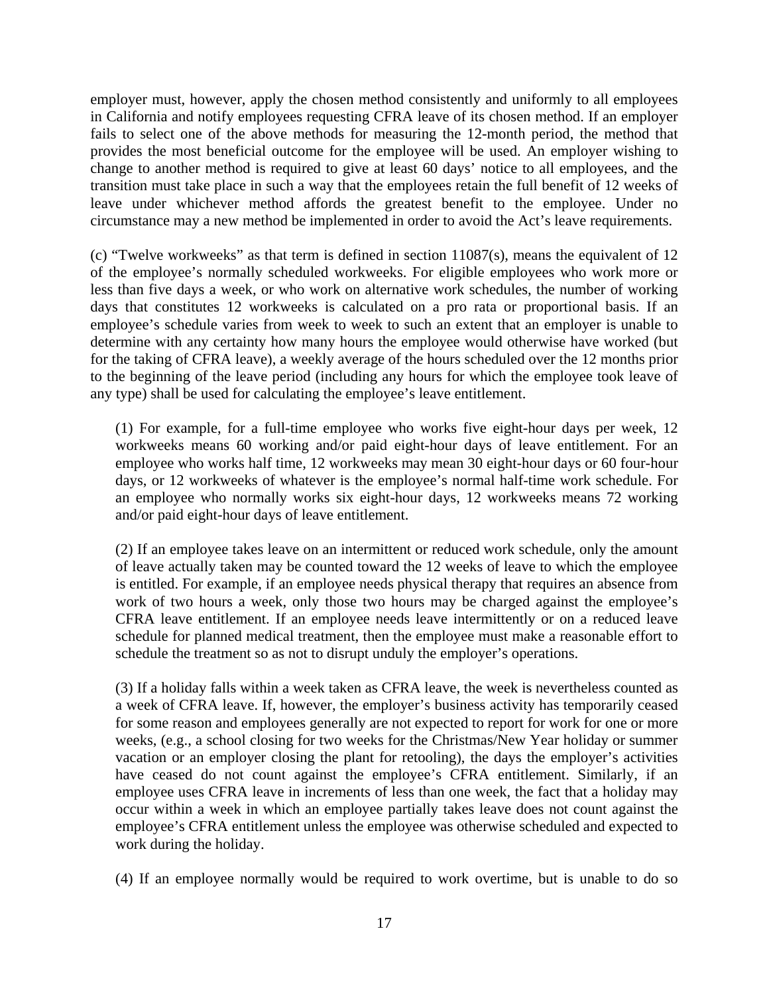employer must, however, apply the chosen method consistently and uniformly to all employees in California and notify employees requesting CFRA leave of its chosen method. If an employer fails to select one of the above methods for measuring the 12-month period, the method that provides the most beneficial outcome for the employee will be used. An employer wishing to change to another method is required to give at least 60 days' notice to all employees, and the transition must take place in such a way that the employees retain the full benefit of 12 weeks of leave under whichever method affords the greatest benefit to the employee. Under no circumstance may a new method be implemented in order to avoid the Act's leave requirements.

(c) "Twelve workweeks" as that term is defined in section 11087(s), means the equivalent of 12 of the employee's normally scheduled workweeks. For eligible employees who work more or less than five days a week, or who work on alternative work schedules, the number of working days that constitutes 12 workweeks is calculated on a pro rata or proportional basis. If an employee's schedule varies from week to week to such an extent that an employer is unable to determine with any certainty how many hours the employee would otherwise have worked (but for the taking of CFRA leave), a weekly average of the hours scheduled over the 12 months prior to the beginning of the leave period (including any hours for which the employee took leave of any type) shall be used for calculating the employee's leave entitlement.

(1) For example, for a full-time employee who works five eight-hour days per week, 12 workweeks means 60 working and/or paid eight-hour days of leave entitlement. For an employee who works half time, 12 workweeks may mean 30 eight-hour days or 60 four-hour days, or 12 workweeks of whatever is the employee's normal half-time work schedule. For an employee who normally works six eight-hour days, 12 workweeks means 72 working and/or paid eight-hour days of leave entitlement.

(2) If an employee takes leave on an intermittent or reduced work schedule, only the amount of leave actually taken may be counted toward the 12 weeks of leave to which the employee is entitled. For example, if an employee needs physical therapy that requires an absence from work of two hours a week, only those two hours may be charged against the employee's CFRA leave entitlement. If an employee needs leave intermittently or on a reduced leave schedule for planned medical treatment, then the employee must make a reasonable effort to schedule the treatment so as not to disrupt unduly the employer's operations.

(3) If a holiday falls within a week taken as CFRA leave, the week is nevertheless counted as a week of CFRA leave. If, however, the employer's business activity has temporarily ceased for some reason and employees generally are not expected to report for work for one or more weeks, (e.g., a school closing for two weeks for the Christmas/New Year holiday or summer vacation or an employer closing the plant for retooling), the days the employer's activities have ceased do not count against the employee's CFRA entitlement. Similarly, if an employee uses CFRA leave in increments of less than one week, the fact that a holiday may occur within a week in which an employee partially takes leave does not count against the employee's CFRA entitlement unless the employee was otherwise scheduled and expected to work during the holiday.

(4) If an employee normally would be required to work overtime, but is unable to do so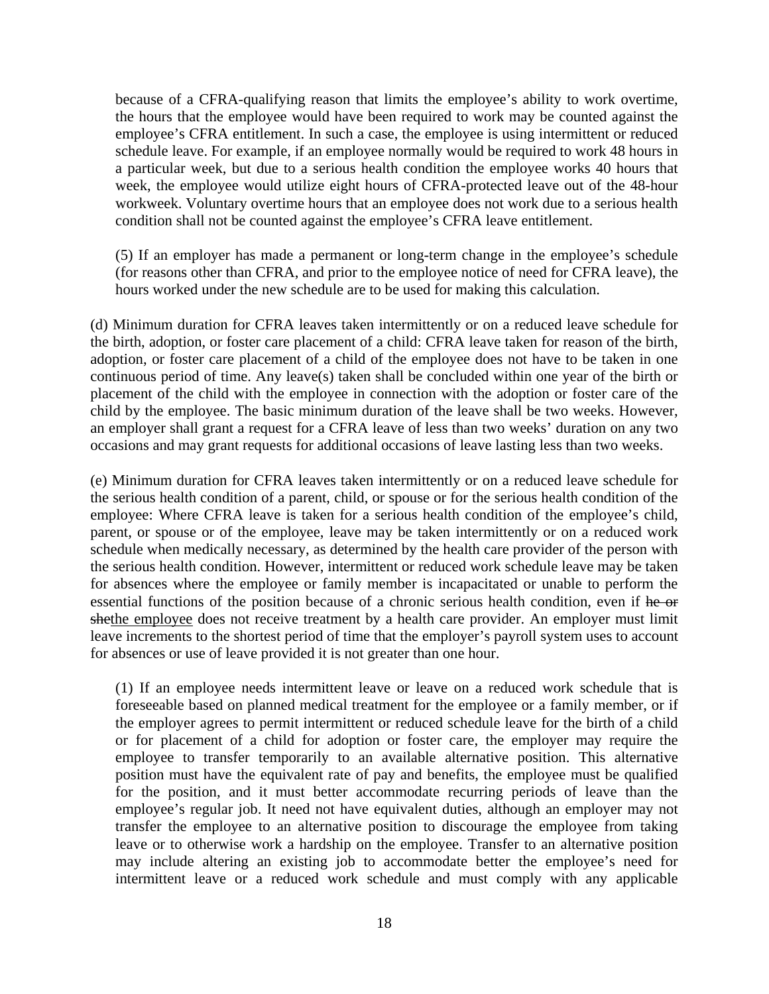because of a CFRA-qualifying reason that limits the employee's ability to work overtime, the hours that the employee would have been required to work may be counted against the employee's CFRA entitlement. In such a case, the employee is using intermittent or reduced schedule leave. For example, if an employee normally would be required to work 48 hours in a particular week, but due to a serious health condition the employee works 40 hours that week, the employee would utilize eight hours of CFRA-protected leave out of the 48-hour workweek. Voluntary overtime hours that an employee does not work due to a serious health condition shall not be counted against the employee's CFRA leave entitlement.

(5) If an employer has made a permanent or long-term change in the employee's schedule (for reasons other than CFRA, and prior to the employee notice of need for CFRA leave), the hours worked under the new schedule are to be used for making this calculation.

(d) Minimum duration for CFRA leaves taken intermittently or on a reduced leave schedule for the birth, adoption, or foster care placement of a child: CFRA leave taken for reason of the birth, adoption, or foster care placement of a child of the employee does not have to be taken in one continuous period of time. Any leave(s) taken shall be concluded within one year of the birth or placement of the child with the employee in connection with the adoption or foster care of the child by the employee. The basic minimum duration of the leave shall be two weeks. However, an employer shall grant a request for a CFRA leave of less than two weeks' duration on any two occasions and may grant requests for additional occasions of leave lasting less than two weeks.

(e) Minimum duration for CFRA leaves taken intermittently or on a reduced leave schedule for the serious health condition of a parent, child, or spouse or for the serious health condition of the employee: Where CFRA leave is taken for a serious health condition of the employee's child, parent, or spouse or of the employee, leave may be taken intermittently or on a reduced work schedule when medically necessary, as determined by the health care provider of the person with the serious health condition. However, intermittent or reduced work schedule leave may be taken for absences where the employee or family member is incapacitated or unable to perform the essential functions of the position because of a chronic serious health condition, even if he or shethe employee does not receive treatment by a health care provider. An employer must limit leave increments to the shortest period of time that the employer's payroll system uses to account for absences or use of leave provided it is not greater than one hour.

(1) If an employee needs intermittent leave or leave on a reduced work schedule that is foreseeable based on planned medical treatment for the employee or a family member, or if the employer agrees to permit intermittent or reduced schedule leave for the birth of a child or for placement of a child for adoption or foster care, the employer may require the employee to transfer temporarily to an available alternative position. This alternative position must have the equivalent rate of pay and benefits, the employee must be qualified for the position, and it must better accommodate recurring periods of leave than the employee's regular job. It need not have equivalent duties, although an employer may not transfer the employee to an alternative position to discourage the employee from taking leave or to otherwise work a hardship on the employee. Transfer to an alternative position may include altering an existing job to accommodate better the employee's need for intermittent leave or a reduced work schedule and must comply with any applicable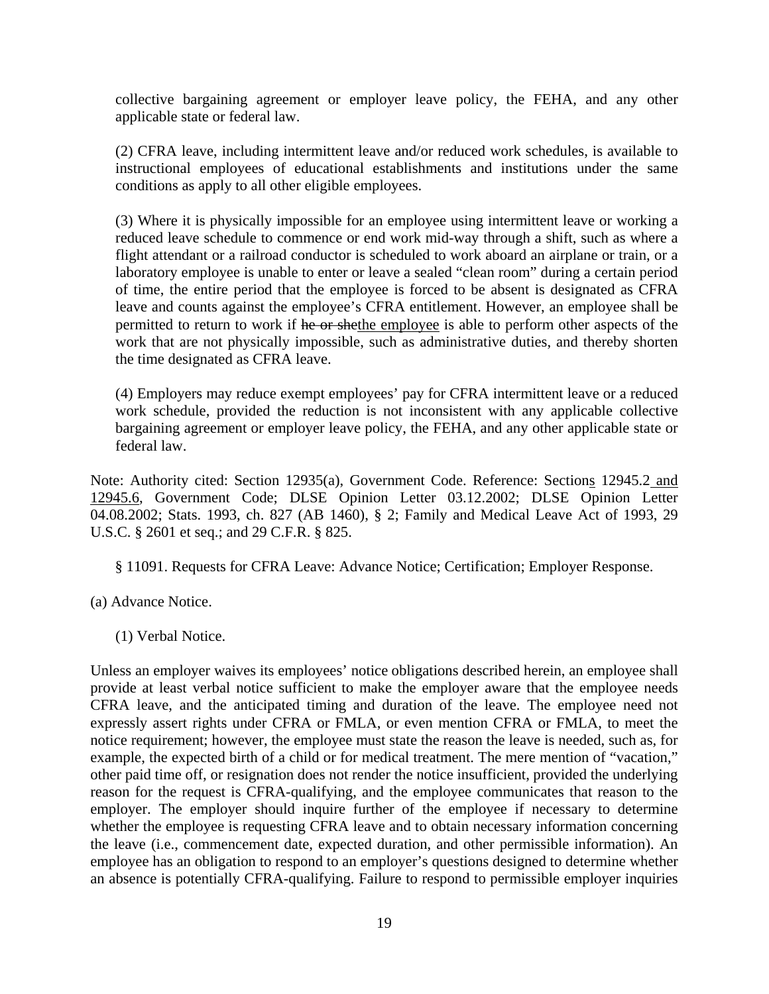collective bargaining agreement or employer leave policy, the FEHA, and any other applicable state or federal law.

(2) CFRA leave, including intermittent leave and/or reduced work schedules, is available to instructional employees of educational establishments and institutions under the same conditions as apply to all other eligible employees.

(3) Where it is physically impossible for an employee using intermittent leave or working a reduced leave schedule to commence or end work mid-way through a shift, such as where a flight attendant or a railroad conductor is scheduled to work aboard an airplane or train, or a laboratory employee is unable to enter or leave a sealed "clean room" during a certain period of time, the entire period that the employee is forced to be absent is designated as CFRA leave and counts against the employee's CFRA entitlement. However, an employee shall be permitted to return to work if he or shethe employee is able to perform other aspects of the work that are not physically impossible, such as administrative duties, and thereby shorten the time designated as CFRA leave.

(4) Employers may reduce exempt employees' pay for CFRA intermittent leave or a reduced work schedule, provided the reduction is not inconsistent with any applicable collective bargaining agreement or employer leave policy, the FEHA, and any other applicable state or federal law.

Note: Authority cited: Section 12935(a), Government Code. Reference: Sections 12945.2 and 12945.6, Government Code; DLSE Opinion Letter 03.12.2002; DLSE Opinion Letter 04.08.2002; Stats. 1993, ch. 827 (AB 1460), § 2; Family and Medical Leave Act of 1993, 29 U.S.C. § 2601 et seq.; and 29 C.F.R. § 825.

§ 11091. Requests for CFRA Leave: Advance Notice; Certification; Employer Response.

(a) Advance Notice.

(1) Verbal Notice.

Unless an employer waives its employees' notice obligations described herein, an employee shall provide at least verbal notice sufficient to make the employer aware that the employee needs CFRA leave, and the anticipated timing and duration of the leave. The employee need not expressly assert rights under CFRA or FMLA, or even mention CFRA or FMLA, to meet the notice requirement; however, the employee must state the reason the leave is needed, such as, for example, the expected birth of a child or for medical treatment. The mere mention of "vacation," other paid time off, or resignation does not render the notice insufficient, provided the underlying reason for the request is CFRA-qualifying, and the employee communicates that reason to the employer. The employer should inquire further of the employee if necessary to determine whether the employee is requesting CFRA leave and to obtain necessary information concerning the leave (i.e., commencement date, expected duration, and other permissible information). An employee has an obligation to respond to an employer's questions designed to determine whether an absence is potentially CFRA-qualifying. Failure to respond to permissible employer inquiries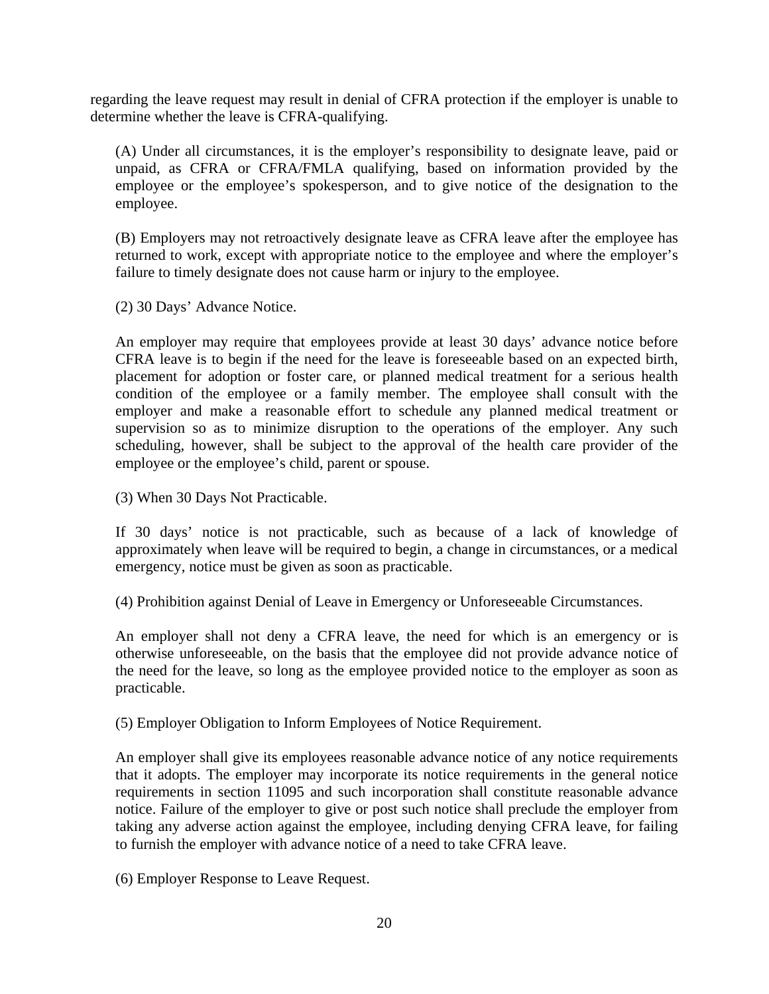regarding the leave request may result in denial of CFRA protection if the employer is unable to determine whether the leave is CFRA-qualifying.

(A) Under all circumstances, it is the employer's responsibility to designate leave, paid or unpaid, as CFRA or CFRA/FMLA qualifying, based on information provided by the employee or the employee's spokesperson, and to give notice of the designation to the employee.

(B) Employers may not retroactively designate leave as CFRA leave after the employee has returned to work, except with appropriate notice to the employee and where the employer's failure to timely designate does not cause harm or injury to the employee.

(2) 30 Days' Advance Notice.

An employer may require that employees provide at least 30 days' advance notice before CFRA leave is to begin if the need for the leave is foreseeable based on an expected birth, placement for adoption or foster care, or planned medical treatment for a serious health condition of the employee or a family member. The employee shall consult with the employer and make a reasonable effort to schedule any planned medical treatment or supervision so as to minimize disruption to the operations of the employer. Any such scheduling, however, shall be subject to the approval of the health care provider of the employee or the employee's child, parent or spouse.

(3) When 30 Days Not Practicable.

If 30 days' notice is not practicable, such as because of a lack of knowledge of approximately when leave will be required to begin, a change in circumstances, or a medical emergency, notice must be given as soon as practicable.

(4) Prohibition against Denial of Leave in Emergency or Unforeseeable Circumstances.

An employer shall not deny a CFRA leave, the need for which is an emergency or is otherwise unforeseeable, on the basis that the employee did not provide advance notice of the need for the leave, so long as the employee provided notice to the employer as soon as practicable.

(5) Employer Obligation to Inform Employees of Notice Requirement.

An employer shall give its employees reasonable advance notice of any notice requirements that it adopts. The employer may incorporate its notice requirements in the general notice requirements in section 11095 and such incorporation shall constitute reasonable advance notice. Failure of the employer to give or post such notice shall preclude the employer from taking any adverse action against the employee, including denying CFRA leave, for failing to furnish the employer with advance notice of a need to take CFRA leave.

(6) Employer Response to Leave Request.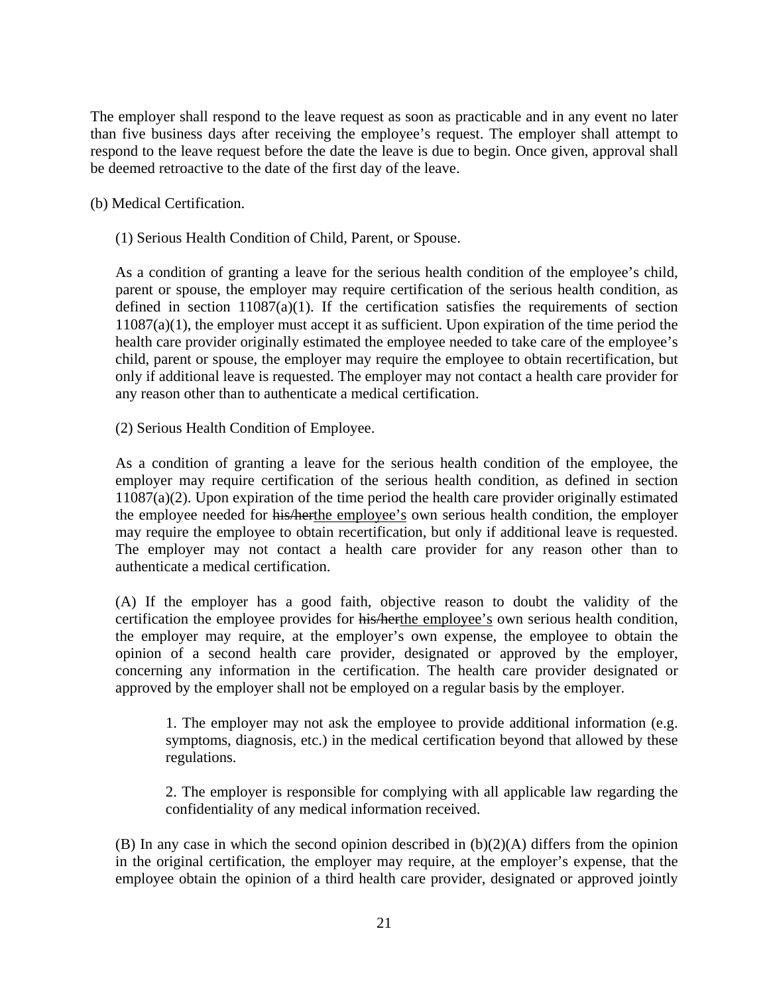The employer shall respond to the leave request as soon as practicable and in any event no later than five business days after receiving the employee's request. The employer shall attempt to respond to the leave request before the date the leave is due to begin. Once given, approval shall be deemed retroactive to the date of the first day of the leave.

(b) Medical Certification.

(1) Serious Health Condition of Child, Parent, or Spouse.

As a condition of granting a leave for the serious health condition of the employee's child, parent or spouse, the employer may require certification of the serious health condition, as defined in section  $11087(a)(1)$ . If the certification satisfies the requirements of section 11087(a)(1), the employer must accept it as sufficient. Upon expiration of the time period the health care provider originally estimated the employee needed to take care of the employee's child, parent or spouse, the employer may require the employee to obtain recertification, but only if additional leave is requested. The employer may not contact a health care provider for any reason other than to authenticate a medical certification.

(2) Serious Health Condition of Employee.

As a condition of granting a leave for the serious health condition of the employee, the employer may require certification of the serious health condition, as defined in section 11087(a)(2). Upon expiration of the time period the health care provider originally estimated the employee needed for his/herthe employee's own serious health condition, the employer may require the employee to obtain recertification, but only if additional leave is requested. The employer may not contact a health care provider for any reason other than to authenticate a medical certification.

(A) If the employer has a good faith, objective reason to doubt the validity of the certification the employee provides for his/herthe employee's own serious health condition, the employer may require, at the employer's own expense, the employee to obtain the opinion of a second health care provider, designated or approved by the employer, concerning any information in the certification. The health care provider designated or approved by the employer shall not be employed on a regular basis by the employer.

1. The employer may not ask the employee to provide additional information (e.g. symptoms, diagnosis, etc.) in the medical certification beyond that allowed by these regulations.

2. The employer is responsible for complying with all applicable law regarding the confidentiality of any medical information received.

(B) In any case in which the second opinion described in  $(b)(2)(A)$  differs from the opinion in the original certification, the employer may require, at the employer's expense, that the employee obtain the opinion of a third health care provider, designated or approved jointly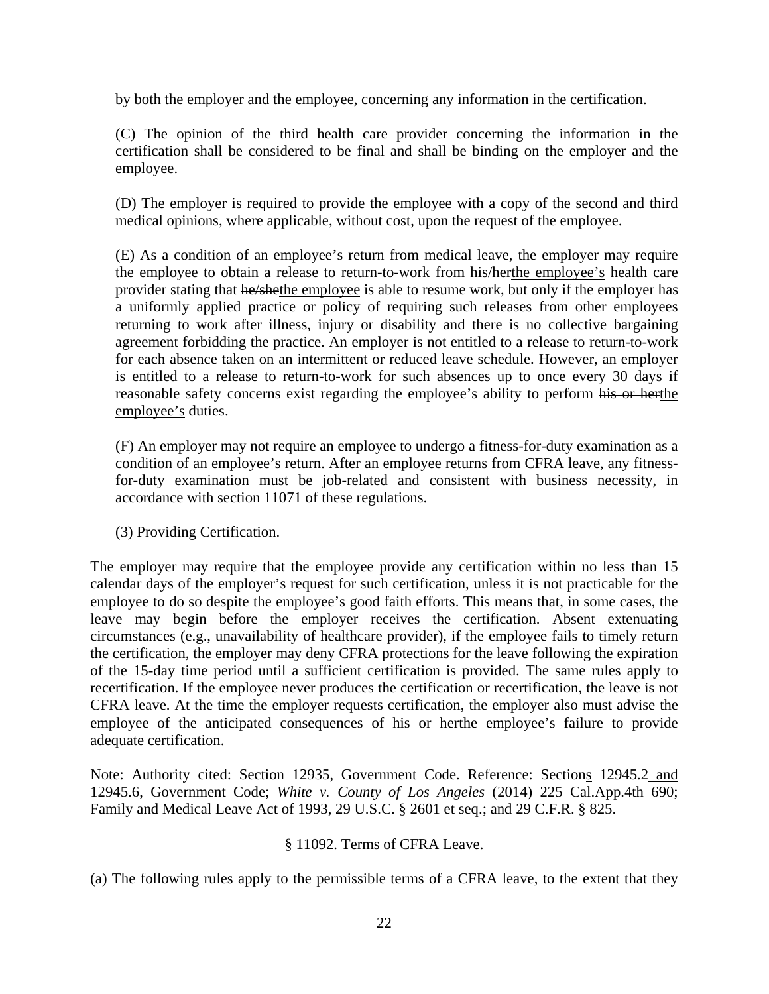by both the employer and the employee, concerning any information in the certification.

(C) The opinion of the third health care provider concerning the information in the certification shall be considered to be final and shall be binding on the employer and the employee.

(D) The employer is required to provide the employee with a copy of the second and third medical opinions, where applicable, without cost, upon the request of the employee.

(E) As a condition of an employee's return from medical leave, the employer may require the employee to obtain a release to return-to-work from his/herthe employee's health care provider stating that he/shethe employee is able to resume work, but only if the employer has a uniformly applied practice or policy of requiring such releases from other employees returning to work after illness, injury or disability and there is no collective bargaining agreement forbidding the practice. An employer is not entitled to a release to return-to-work for each absence taken on an intermittent or reduced leave schedule. However, an employer is entitled to a release to return-to-work for such absences up to once every 30 days if reasonable safety concerns exist regarding the employee's ability to perform his or herthe employee's duties.

(F) An employer may not require an employee to undergo a fitness-for-duty examination as a condition of an employee's return. After an employee returns from CFRA leave, any fitnessfor-duty examination must be job-related and consistent with business necessity, in accordance with section 11071 of these regulations.

(3) Providing Certification.

The employer may require that the employee provide any certification within no less than 15 calendar days of the employer's request for such certification, unless it is not practicable for the employee to do so despite the employee's good faith efforts. This means that, in some cases, the leave may begin before the employer receives the certification. Absent extenuating circumstances (e.g., unavailability of healthcare provider), if the employee fails to timely return the certification, the employer may deny CFRA protections for the leave following the expiration of the 15-day time period until a sufficient certification is provided. The same rules apply to recertification. If the employee never produces the certification or recertification, the leave is not CFRA leave. At the time the employer requests certification, the employer also must advise the employee of the anticipated consequences of his or herthe employee's failure to provide adequate certification.

Note: Authority cited: Section 12935, Government Code. Reference: Sections 12945.2 and 12945.6, Government Code; *White v. County of Los Angeles* (2014) 225 Cal.App.4th 690; Family and Medical Leave Act of 1993, 29 U.S.C. § 2601 et seq.; and 29 C.F.R. § 825.

#### § 11092. Terms of CFRA Leave.

(a) The following rules apply to the permissible terms of a CFRA leave, to the extent that they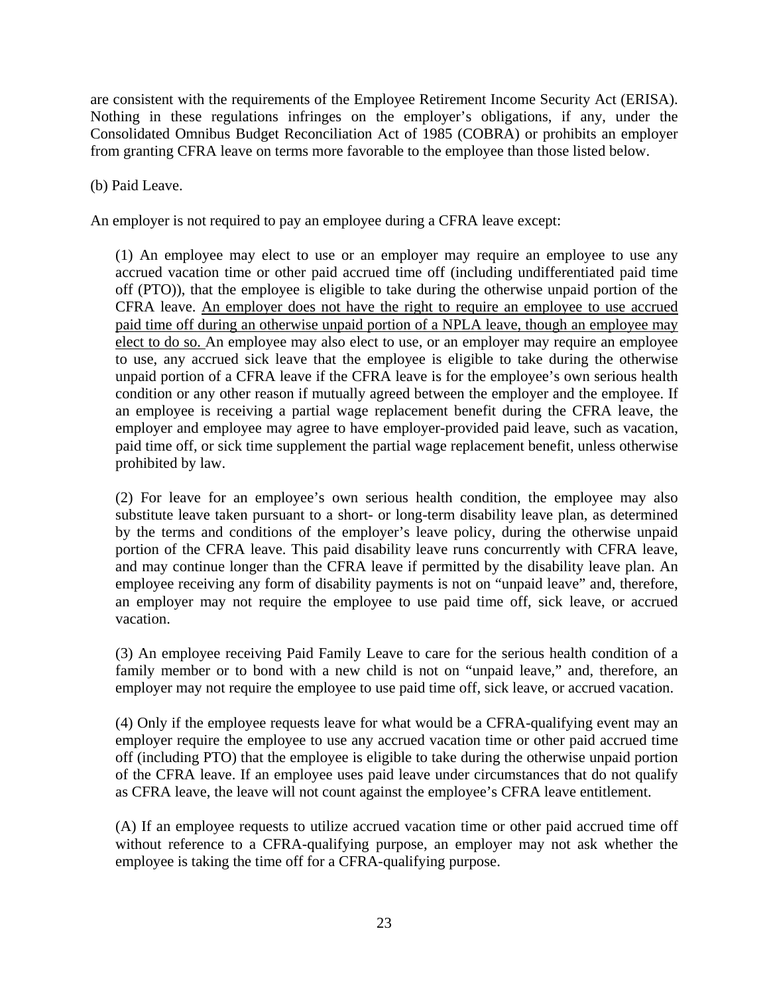are consistent with the requirements of the Employee Retirement Income Security Act (ERISA). Nothing in these regulations infringes on the employer's obligations, if any, under the Consolidated Omnibus Budget Reconciliation Act of 1985 (COBRA) or prohibits an employer from granting CFRA leave on terms more favorable to the employee than those listed below.

(b) Paid Leave.

An employer is not required to pay an employee during a CFRA leave except:

(1) An employee may elect to use or an employer may require an employee to use any accrued vacation time or other paid accrued time off (including undifferentiated paid time off (PTO)), that the employee is eligible to take during the otherwise unpaid portion of the CFRA leave. An employer does not have the right to require an employee to use accrued paid time off during an otherwise unpaid portion of a NPLA leave, though an employee may elect to do so. An employee may also elect to use, or an employer may require an employee to use, any accrued sick leave that the employee is eligible to take during the otherwise unpaid portion of a CFRA leave if the CFRA leave is for the employee's own serious health condition or any other reason if mutually agreed between the employer and the employee. If an employee is receiving a partial wage replacement benefit during the CFRA leave, the employer and employee may agree to have employer-provided paid leave, such as vacation, paid time off, or sick time supplement the partial wage replacement benefit, unless otherwise prohibited by law.

(2) For leave for an employee's own serious health condition, the employee may also substitute leave taken pursuant to a short- or long-term disability leave plan, as determined by the terms and conditions of the employer's leave policy, during the otherwise unpaid portion of the CFRA leave. This paid disability leave runs concurrently with CFRA leave, and may continue longer than the CFRA leave if permitted by the disability leave plan. An employee receiving any form of disability payments is not on "unpaid leave" and, therefore, an employer may not require the employee to use paid time off, sick leave, or accrued vacation.

(3) An employee receiving Paid Family Leave to care for the serious health condition of a family member or to bond with a new child is not on "unpaid leave," and, therefore, an employer may not require the employee to use paid time off, sick leave, or accrued vacation.

(4) Only if the employee requests leave for what would be a CFRA-qualifying event may an employer require the employee to use any accrued vacation time or other paid accrued time off (including PTO) that the employee is eligible to take during the otherwise unpaid portion of the CFRA leave. If an employee uses paid leave under circumstances that do not qualify as CFRA leave, the leave will not count against the employee's CFRA leave entitlement.

(A) If an employee requests to utilize accrued vacation time or other paid accrued time off without reference to a CFRA-qualifying purpose, an employer may not ask whether the employee is taking the time off for a CFRA-qualifying purpose.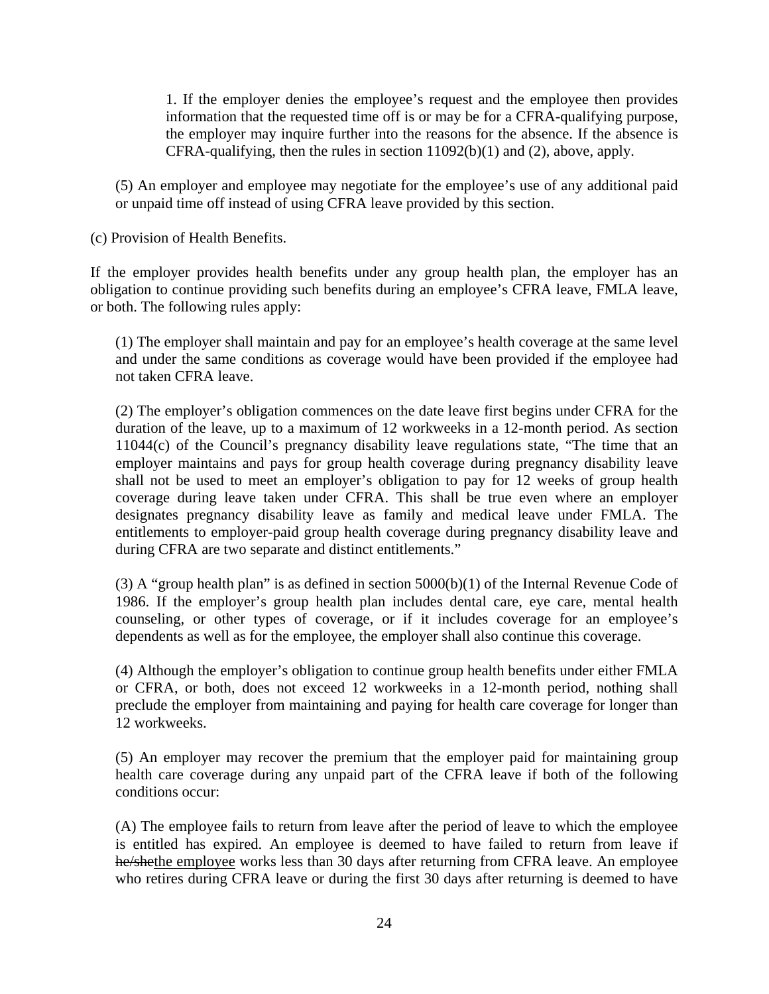1. If the employer denies the employee's request and the employee then provides information that the requested time off is or may be for a CFRA-qualifying purpose, the employer may inquire further into the reasons for the absence. If the absence is CFRA-qualifying, then the rules in section 11092(b)(1) and (2), above, apply.

(5) An employer and employee may negotiate for the employee's use of any additional paid or unpaid time off instead of using CFRA leave provided by this section.

(c) Provision of Health Benefits.

If the employer provides health benefits under any group health plan, the employer has an obligation to continue providing such benefits during an employee's CFRA leave, FMLA leave, or both. The following rules apply:

(1) The employer shall maintain and pay for an employee's health coverage at the same level and under the same conditions as coverage would have been provided if the employee had not taken CFRA leave.

(2) The employer's obligation commences on the date leave first begins under CFRA for the duration of the leave, up to a maximum of 12 workweeks in a 12-month period. As section 11044(c) of the Council's pregnancy disability leave regulations state, "The time that an employer maintains and pays for group health coverage during pregnancy disability leave shall not be used to meet an employer's obligation to pay for 12 weeks of group health coverage during leave taken under CFRA. This shall be true even where an employer designates pregnancy disability leave as family and medical leave under FMLA. The entitlements to employer-paid group health coverage during pregnancy disability leave and during CFRA are two separate and distinct entitlements."

(3) A "group health plan" is as defined in section  $5000(b)(1)$  of the Internal Revenue Code of 1986. If the employer's group health plan includes dental care, eye care, mental health counseling, or other types of coverage, or if it includes coverage for an employee's dependents as well as for the employee, the employer shall also continue this coverage.

(4) Although the employer's obligation to continue group health benefits under either FMLA or CFRA, or both, does not exceed 12 workweeks in a 12-month period, nothing shall preclude the employer from maintaining and paying for health care coverage for longer than 12 workweeks.

(5) An employer may recover the premium that the employer paid for maintaining group health care coverage during any unpaid part of the CFRA leave if both of the following conditions occur:

(A) The employee fails to return from leave after the period of leave to which the employee is entitled has expired. An employee is deemed to have failed to return from leave if he/shethe employee works less than 30 days after returning from CFRA leave. An employee who retires during CFRA leave or during the first 30 days after returning is deemed to have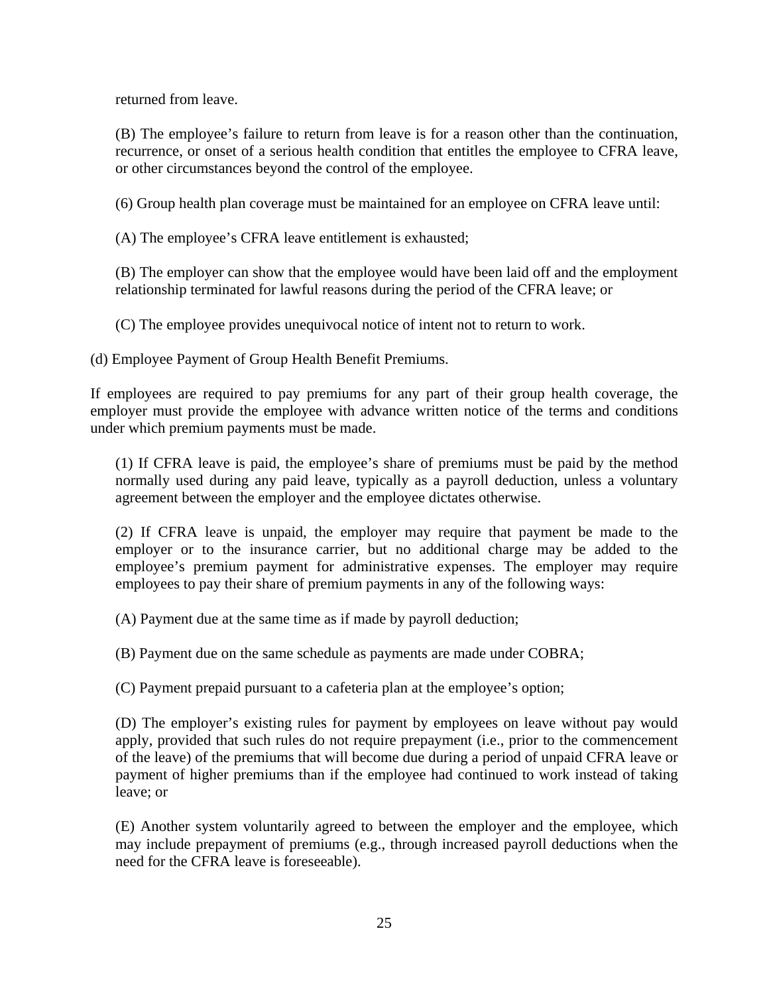returned from leave.

(B) The employee's failure to return from leave is for a reason other than the continuation, recurrence, or onset of a serious health condition that entitles the employee to CFRA leave, or other circumstances beyond the control of the employee.

(6) Group health plan coverage must be maintained for an employee on CFRA leave until:

(A) The employee's CFRA leave entitlement is exhausted;

(B) The employer can show that the employee would have been laid off and the employment relationship terminated for lawful reasons during the period of the CFRA leave; or

(C) The employee provides unequivocal notice of intent not to return to work.

(d) Employee Payment of Group Health Benefit Premiums.

If employees are required to pay premiums for any part of their group health coverage, the employer must provide the employee with advance written notice of the terms and conditions under which premium payments must be made.

(1) If CFRA leave is paid, the employee's share of premiums must be paid by the method normally used during any paid leave, typically as a payroll deduction, unless a voluntary agreement between the employer and the employee dictates otherwise.

(2) If CFRA leave is unpaid, the employer may require that payment be made to the employer or to the insurance carrier, but no additional charge may be added to the employee's premium payment for administrative expenses. The employer may require employees to pay their share of premium payments in any of the following ways:

(A) Payment due at the same time as if made by payroll deduction;

(B) Payment due on the same schedule as payments are made under COBRA;

(C) Payment prepaid pursuant to a cafeteria plan at the employee's option;

(D) The employer's existing rules for payment by employees on leave without pay would apply, provided that such rules do not require prepayment (i.e., prior to the commencement of the leave) of the premiums that will become due during a period of unpaid CFRA leave or payment of higher premiums than if the employee had continued to work instead of taking leave; or

(E) Another system voluntarily agreed to between the employer and the employee, which may include prepayment of premiums (e.g., through increased payroll deductions when the need for the CFRA leave is foreseeable).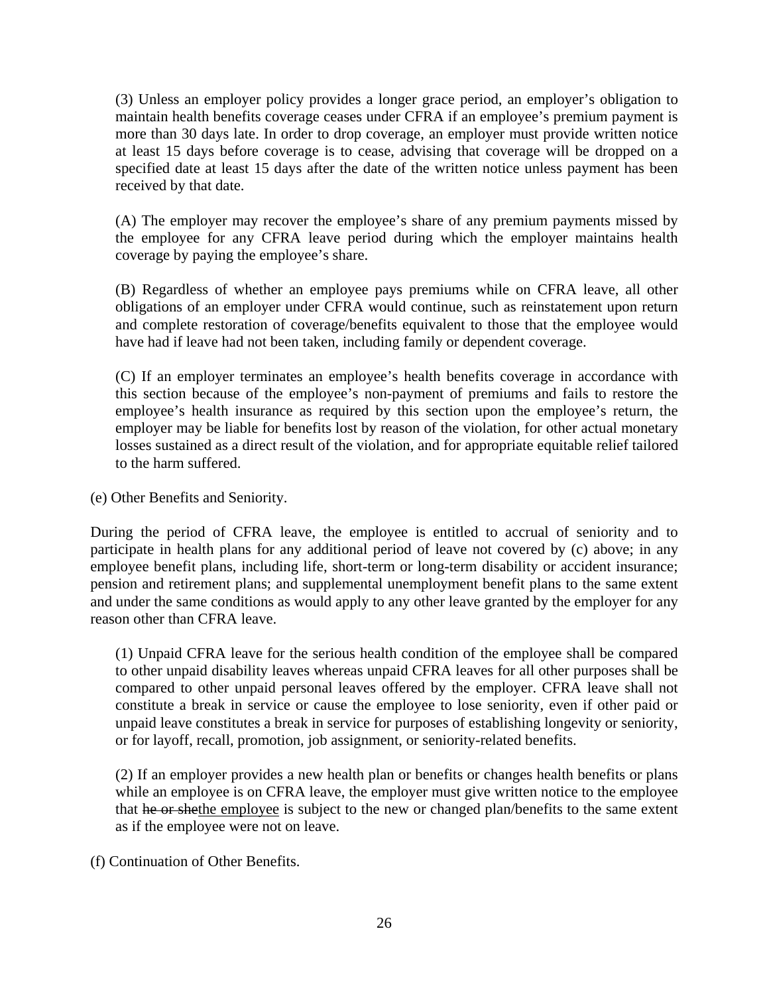(3) Unless an employer policy provides a longer grace period, an employer's obligation to maintain health benefits coverage ceases under CFRA if an employee's premium payment is more than 30 days late. In order to drop coverage, an employer must provide written notice at least 15 days before coverage is to cease, advising that coverage will be dropped on a specified date at least 15 days after the date of the written notice unless payment has been received by that date.

(A) The employer may recover the employee's share of any premium payments missed by the employee for any CFRA leave period during which the employer maintains health coverage by paying the employee's share.

(B) Regardless of whether an employee pays premiums while on CFRA leave, all other obligations of an employer under CFRA would continue, such as reinstatement upon return and complete restoration of coverage/benefits equivalent to those that the employee would have had if leave had not been taken, including family or dependent coverage.

(C) If an employer terminates an employee's health benefits coverage in accordance with this section because of the employee's non-payment of premiums and fails to restore the employee's health insurance as required by this section upon the employee's return, the employer may be liable for benefits lost by reason of the violation, for other actual monetary losses sustained as a direct result of the violation, and for appropriate equitable relief tailored to the harm suffered.

(e) Other Benefits and Seniority.

During the period of CFRA leave, the employee is entitled to accrual of seniority and to participate in health plans for any additional period of leave not covered by (c) above; in any employee benefit plans, including life, short-term or long-term disability or accident insurance; pension and retirement plans; and supplemental unemployment benefit plans to the same extent and under the same conditions as would apply to any other leave granted by the employer for any reason other than CFRA leave.

(1) Unpaid CFRA leave for the serious health condition of the employee shall be compared to other unpaid disability leaves whereas unpaid CFRA leaves for all other purposes shall be compared to other unpaid personal leaves offered by the employer. CFRA leave shall not constitute a break in service or cause the employee to lose seniority, even if other paid or unpaid leave constitutes a break in service for purposes of establishing longevity or seniority, or for layoff, recall, promotion, job assignment, or seniority-related benefits.

(2) If an employer provides a new health plan or benefits or changes health benefits or plans while an employee is on CFRA leave, the employer must give written notice to the employee that he or shethe employee is subject to the new or changed plan/benefits to the same extent as if the employee were not on leave.

(f) Continuation of Other Benefits.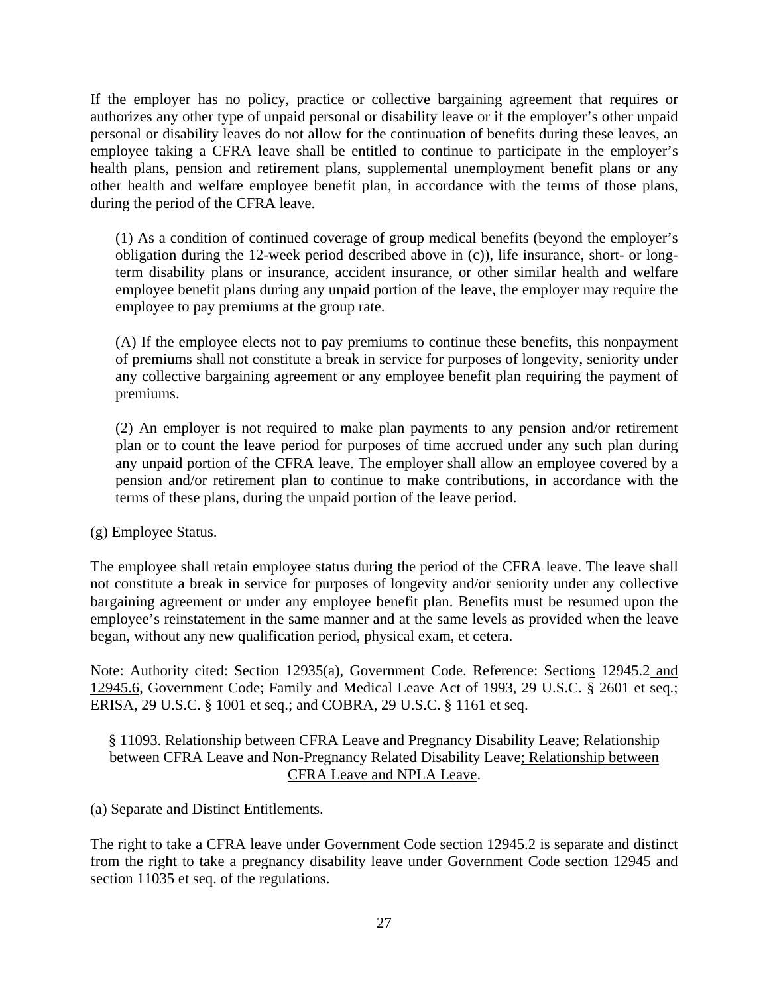If the employer has no policy, practice or collective bargaining agreement that requires or authorizes any other type of unpaid personal or disability leave or if the employer's other unpaid personal or disability leaves do not allow for the continuation of benefits during these leaves, an employee taking a CFRA leave shall be entitled to continue to participate in the employer's health plans, pension and retirement plans, supplemental unemployment benefit plans or any other health and welfare employee benefit plan, in accordance with the terms of those plans, during the period of the CFRA leave.

(1) As a condition of continued coverage of group medical benefits (beyond the employer's obligation during the 12-week period described above in (c)), life insurance, short- or longterm disability plans or insurance, accident insurance, or other similar health and welfare employee benefit plans during any unpaid portion of the leave, the employer may require the employee to pay premiums at the group rate.

(A) If the employee elects not to pay premiums to continue these benefits, this nonpayment of premiums shall not constitute a break in service for purposes of longevity, seniority under any collective bargaining agreement or any employee benefit plan requiring the payment of premiums.

(2) An employer is not required to make plan payments to any pension and/or retirement plan or to count the leave period for purposes of time accrued under any such plan during any unpaid portion of the CFRA leave. The employer shall allow an employee covered by a pension and/or retirement plan to continue to make contributions, in accordance with the terms of these plans, during the unpaid portion of the leave period.

(g) Employee Status.

The employee shall retain employee status during the period of the CFRA leave. The leave shall not constitute a break in service for purposes of longevity and/or seniority under any collective bargaining agreement or under any employee benefit plan. Benefits must be resumed upon the employee's reinstatement in the same manner and at the same levels as provided when the leave began, without any new qualification period, physical exam, et cetera.

Note: Authority cited: Section 12935(a), Government Code. Reference: Sections 12945.2 and 12945.6, Government Code; Family and Medical Leave Act of 1993, 29 U.S.C. § 2601 et seq.; ERISA, 29 U.S.C. § 1001 et seq.; and COBRA, 29 U.S.C. § 1161 et seq.

§ 11093. Relationship between CFRA Leave and Pregnancy Disability Leave; Relationship between CFRA Leave and Non-Pregnancy Related Disability Leave; Relationship between CFRA Leave and NPLA Leave.

(a) Separate and Distinct Entitlements.

The right to take a CFRA leave under Government Code section 12945.2 is separate and distinct from the right to take a pregnancy disability leave under Government Code section 12945 and section 11035 et seq. of the regulations.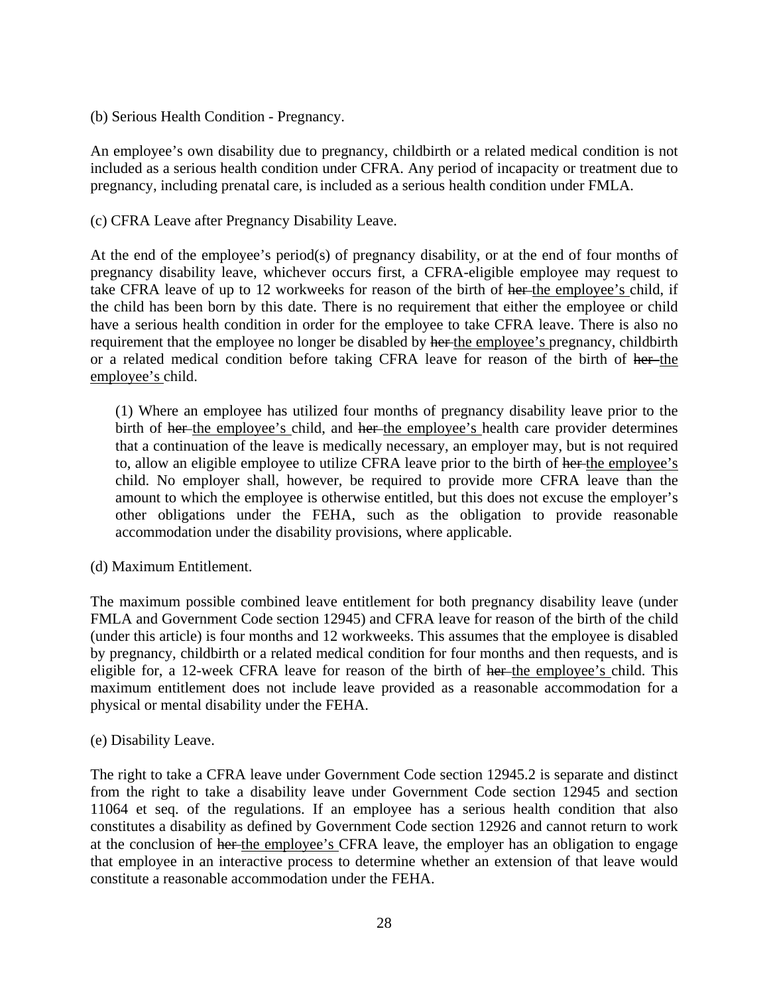#### (b) Serious Health Condition - Pregnancy.

An employee's own disability due to pregnancy, childbirth or a related medical condition is not included as a serious health condition under CFRA. Any period of incapacity or treatment due to pregnancy, including prenatal care, is included as a serious health condition under FMLA.

# (c) CFRA Leave after Pregnancy Disability Leave.

At the end of the employee's period(s) of pregnancy disability, or at the end of four months of pregnancy disability leave, whichever occurs first, a CFRA-eligible employee may request to take CFRA leave of up to 12 workweeks for reason of the birth of her the employee's child, if the child has been born by this date. There is no requirement that either the employee or child have a serious health condition in order for the employee to take CFRA leave. There is also no requirement that the employee no longer be disabled by her the employee's pregnancy, childbirth or a related medical condition before taking CFRA leave for reason of the birth of her-the employee's child.

(1) Where an employee has utilized four months of pregnancy disability leave prior to the birth of her the employee's child, and her the employee's health care provider determines that a continuation of the leave is medically necessary, an employer may, but is not required to, allow an eligible employee to utilize CFRA leave prior to the birth of her-the employee's child. No employer shall, however, be required to provide more CFRA leave than the amount to which the employee is otherwise entitled, but this does not excuse the employer's other obligations under the FEHA, such as the obligation to provide reasonable accommodation under the disability provisions, where applicable.

(d) Maximum Entitlement.

The maximum possible combined leave entitlement for both pregnancy disability leave (under FMLA and Government Code section 12945) and CFRA leave for reason of the birth of the child (under this article) is four months and 12 workweeks. This assumes that the employee is disabled by pregnancy, childbirth or a related medical condition for four months and then requests, and is eligible for, a 12-week CFRA leave for reason of the birth of her the employee's child. This maximum entitlement does not include leave provided as a reasonable accommodation for a physical or mental disability under the FEHA.

#### (e) Disability Leave.

The right to take a CFRA leave under Government Code section 12945.2 is separate and distinct from the right to take a disability leave under Government Code section 12945 and section 11064 et seq. of the regulations. If an employee has a serious health condition that also constitutes a disability as defined by Government Code section 12926 and cannot return to work at the conclusion of her the employee's CFRA leave, the employer has an obligation to engage that employee in an interactive process to determine whether an extension of that leave would constitute a reasonable accommodation under the FEHA.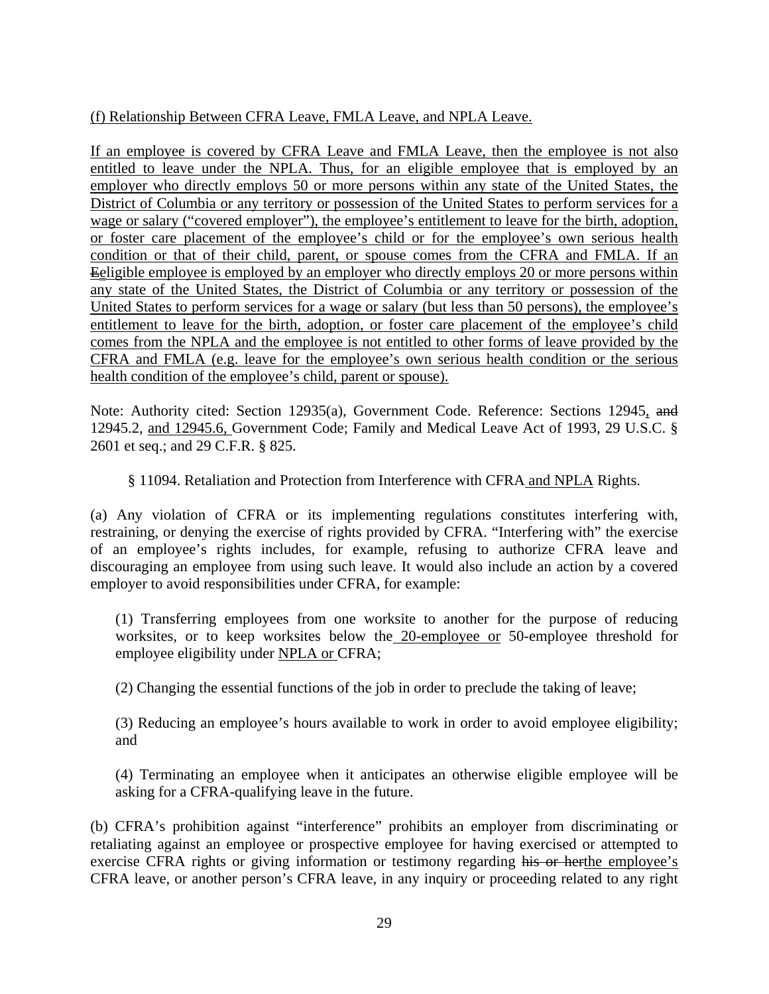# (f) Relationship Between CFRA Leave, FMLA Leave, and NPLA Leave.

If an employee is covered by CFRA Leave and FMLA Leave, then the employee is not also entitled to leave under the NPLA. Thus, for an eligible employee that is employed by an employer who directly employs 50 or more persons within any state of the United States, the District of Columbia or any territory or possession of the United States to perform services for a wage or salary ("covered employer"), the employee's entitlement to leave for the birth, adoption, or foster care placement of the employee's child or for the employee's own serious health condition or that of their child, parent, or spouse comes from the CFRA and FMLA. If an Egligible employee is employed by an employer who directly employs 20 or more persons within any state of the United States, the District of Columbia or any territory or possession of the United States to perform services for a wage or salary (but less than 50 persons), the employee's entitlement to leave for the birth, adoption, or foster care placement of the employee's child comes from the NPLA and the employee is not entitled to other forms of leave provided by the CFRA and FMLA (e.g. leave for the employee's own serious health condition or the serious health condition of the employee's child, parent or spouse).

Note: Authority cited: Section 12935(a), Government Code. Reference: Sections 12945, and 12945.2, and 12945.6, Government Code; Family and Medical Leave Act of 1993, 29 U.S.C. § 2601 et seq.; and 29 C.F.R. § 825.

§ 11094. Retaliation and Protection from Interference with CFRA and NPLA Rights.

(a) Any violation of CFRA or its implementing regulations constitutes interfering with, restraining, or denying the exercise of rights provided by CFRA. "Interfering with" the exercise of an employee's rights includes, for example, refusing to authorize CFRA leave and discouraging an employee from using such leave. It would also include an action by a covered employer to avoid responsibilities under CFRA, for example:

(1) Transferring employees from one worksite to another for the purpose of reducing worksites, or to keep worksites below the 20-employee or 50-employee threshold for employee eligibility under NPLA or CFRA;

(2) Changing the essential functions of the job in order to preclude the taking of leave;

(3) Reducing an employee's hours available to work in order to avoid employee eligibility; and

(4) Terminating an employee when it anticipates an otherwise eligible employee will be asking for a CFRA-qualifying leave in the future.

(b) CFRA's prohibition against "interference" prohibits an employer from discriminating or retaliating against an employee or prospective employee for having exercised or attempted to exercise CFRA rights or giving information or testimony regarding his or herthe employee's CFRA leave, or another person's CFRA leave, in any inquiry or proceeding related to any right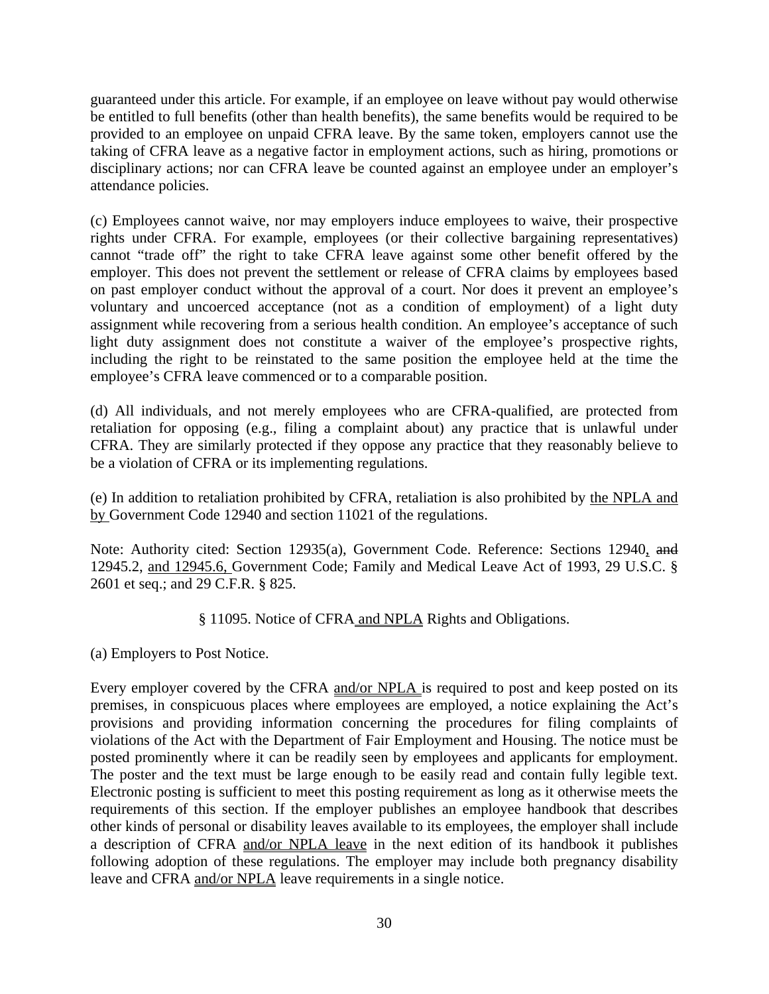guaranteed under this article. For example, if an employee on leave without pay would otherwise be entitled to full benefits (other than health benefits), the same benefits would be required to be provided to an employee on unpaid CFRA leave. By the same token, employers cannot use the taking of CFRA leave as a negative factor in employment actions, such as hiring, promotions or disciplinary actions; nor can CFRA leave be counted against an employee under an employer's attendance policies.

(c) Employees cannot waive, nor may employers induce employees to waive, their prospective rights under CFRA. For example, employees (or their collective bargaining representatives) cannot "trade off" the right to take CFRA leave against some other benefit offered by the employer. This does not prevent the settlement or release of CFRA claims by employees based on past employer conduct without the approval of a court. Nor does it prevent an employee's voluntary and uncoerced acceptance (not as a condition of employment) of a light duty assignment while recovering from a serious health condition. An employee's acceptance of such light duty assignment does not constitute a waiver of the employee's prospective rights, including the right to be reinstated to the same position the employee held at the time the employee's CFRA leave commenced or to a comparable position.

(d) All individuals, and not merely employees who are CFRA-qualified, are protected from retaliation for opposing (e.g., filing a complaint about) any practice that is unlawful under CFRA. They are similarly protected if they oppose any practice that they reasonably believe to be a violation of CFRA or its implementing regulations.

(e) In addition to retaliation prohibited by CFRA, retaliation is also prohibited by the NPLA and by Government Code 12940 and section 11021 of the regulations.

Note: Authority cited: Section 12935(a), Government Code. Reference: Sections 12940, and 12945.2, and 12945.6, Government Code; Family and Medical Leave Act of 1993, 29 U.S.C. § 2601 et seq.; and 29 C.F.R. § 825.

# § 11095. Notice of CFRA and NPLA Rights and Obligations.

(a) Employers to Post Notice.

Every employer covered by the CFRA and/or NPLA is required to post and keep posted on its premises, in conspicuous places where employees are employed, a notice explaining the Act's provisions and providing information concerning the procedures for filing complaints of violations of the Act with the Department of Fair Employment and Housing. The notice must be posted prominently where it can be readily seen by employees and applicants for employment. The poster and the text must be large enough to be easily read and contain fully legible text. Electronic posting is sufficient to meet this posting requirement as long as it otherwise meets the requirements of this section. If the employer publishes an employee handbook that describes other kinds of personal or disability leaves available to its employees, the employer shall include a description of CFRA and/or NPLA leave in the next edition of its handbook it publishes following adoption of these regulations. The employer may include both pregnancy disability leave and CFRA and/or NPLA leave requirements in a single notice.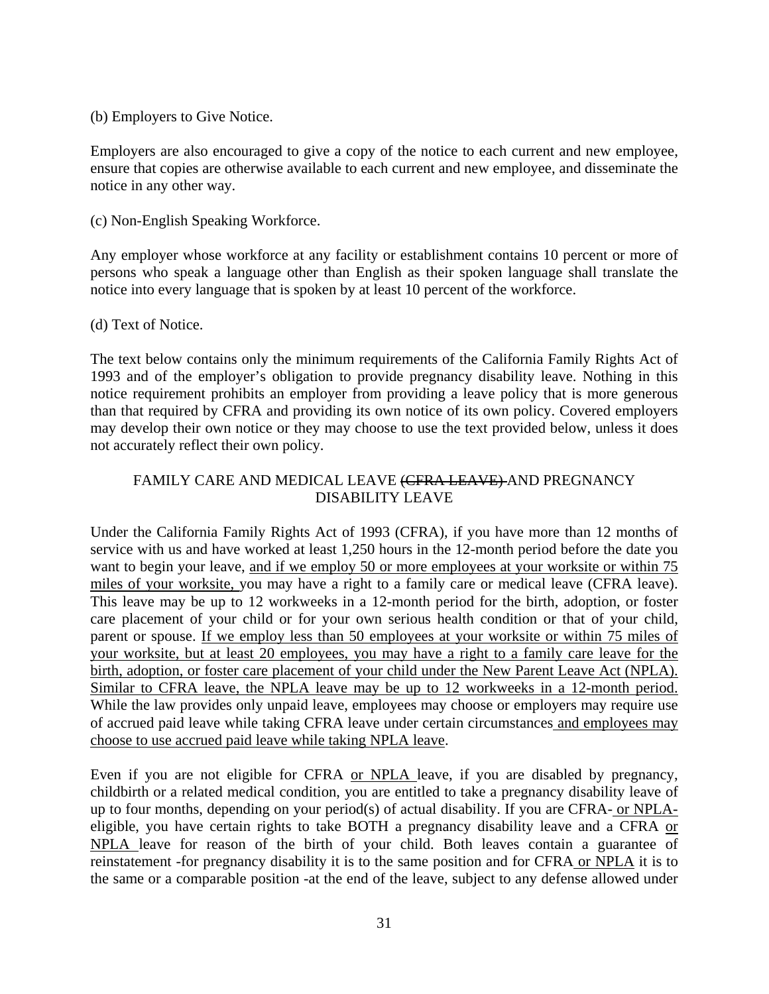(b) Employers to Give Notice.

Employers are also encouraged to give a copy of the notice to each current and new employee, ensure that copies are otherwise available to each current and new employee, and disseminate the notice in any other way.

(c) Non-English Speaking Workforce.

Any employer whose workforce at any facility or establishment contains 10 percent or more of persons who speak a language other than English as their spoken language shall translate the notice into every language that is spoken by at least 10 percent of the workforce.

(d) Text of Notice.

The text below contains only the minimum requirements of the California Family Rights Act of 1993 and of the employer's obligation to provide pregnancy disability leave. Nothing in this notice requirement prohibits an employer from providing a leave policy that is more generous than that required by CFRA and providing its own notice of its own policy. Covered employers may develop their own notice or they may choose to use the text provided below, unless it does not accurately reflect their own policy.

# FAMILY CARE AND MEDICAL LEAVE (CFRA LEAVE) AND PREGNANCY DISABILITY LEAVE

Under the California Family Rights Act of 1993 (CFRA), if you have more than 12 months of service with us and have worked at least 1,250 hours in the 12-month period before the date you want to begin your leave, and if we employ 50 or more employees at your worksite or within 75 miles of your worksite, you may have a right to a family care or medical leave (CFRA leave). This leave may be up to 12 workweeks in a 12-month period for the birth, adoption, or foster care placement of your child or for your own serious health condition or that of your child, parent or spouse. If we employ less than 50 employees at your worksite or within 75 miles of your worksite, but at least 20 employees, you may have a right to a family care leave for the birth, adoption, or foster care placement of your child under the New Parent Leave Act (NPLA). Similar to CFRA leave, the NPLA leave may be up to 12 workweeks in a 12-month period. While the law provides only unpaid leave, employees may choose or employers may require use of accrued paid leave while taking CFRA leave under certain circumstances and employees may choose to use accrued paid leave while taking NPLA leave.

Even if you are not eligible for CFRA or NPLA leave, if you are disabled by pregnancy, childbirth or a related medical condition, you are entitled to take a pregnancy disability leave of up to four months, depending on your period(s) of actual disability. If you are CFRA- or NPLAeligible, you have certain rights to take BOTH a pregnancy disability leave and a CFRA or NPLA leave for reason of the birth of your child. Both leaves contain a guarantee of reinstatement -for pregnancy disability it is to the same position and for CFRA or NPLA it is to the same or a comparable position -at the end of the leave, subject to any defense allowed under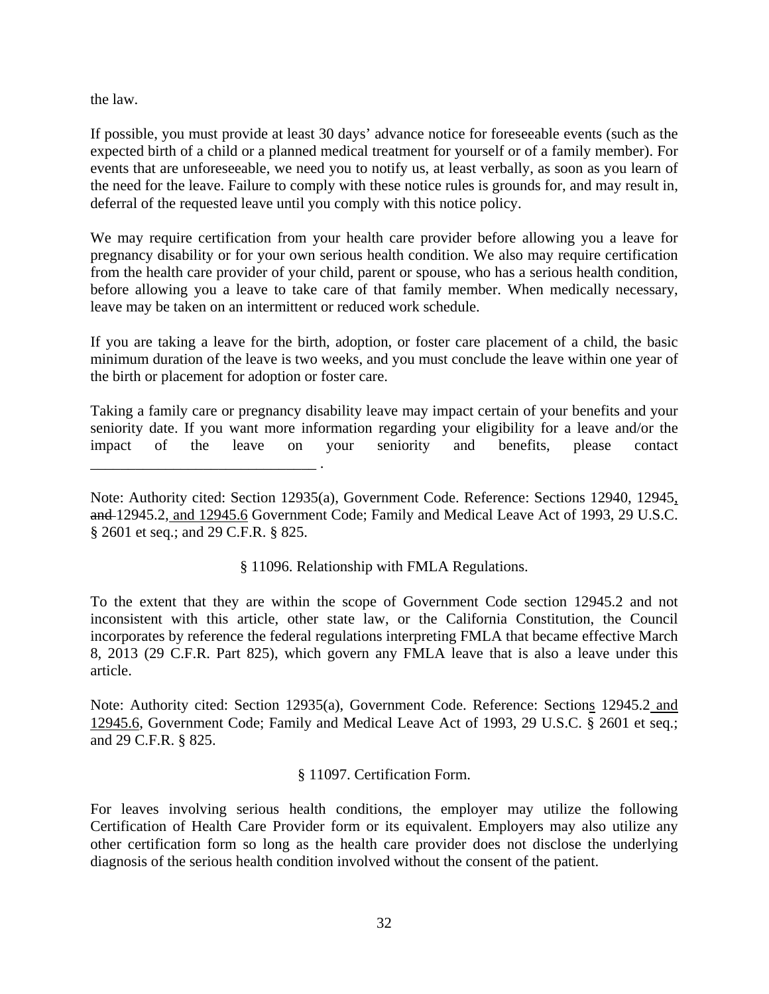the law.

If possible, you must provide at least 30 days' advance notice for foreseeable events (such as the expected birth of a child or a planned medical treatment for yourself or of a family member). For events that are unforeseeable, we need you to notify us, at least verbally, as soon as you learn of the need for the leave. Failure to comply with these notice rules is grounds for, and may result in, deferral of the requested leave until you comply with this notice policy.

We may require certification from your health care provider before allowing you a leave for pregnancy disability or for your own serious health condition. We also may require certification from the health care provider of your child, parent or spouse, who has a serious health condition, before allowing you a leave to take care of that family member. When medically necessary, leave may be taken on an intermittent or reduced work schedule.

If you are taking a leave for the birth, adoption, or foster care placement of a child, the basic minimum duration of the leave is two weeks, and you must conclude the leave within one year of the birth or placement for adoption or foster care.

Taking a family care or pregnancy disability leave may impact certain of your benefits and your seniority date. If you want more information regarding your eligibility for a leave and/or the impact of the leave on your seniority and benefits, please contact \_\_\_\_\_\_\_\_\_\_\_\_\_\_\_\_\_\_\_\_\_\_\_\_\_\_\_\_\_\_ .

Note: Authority cited: Section 12935(a), Government Code. Reference: Sections 12940, 12945, and 12945.2, and 12945.6 Government Code; Family and Medical Leave Act of 1993, 29 U.S.C. § 2601 et seq.; and 29 C.F.R. § 825.

§ 11096. Relationship with FMLA Regulations.

To the extent that they are within the scope of Government Code section 12945.2 and not inconsistent with this article, other state law, or the California Constitution, the Council incorporates by reference the federal regulations interpreting FMLA that became effective March 8, 2013 (29 C.F.R. Part 825), which govern any FMLA leave that is also a leave under this article.

Note: Authority cited: Section 12935(a), Government Code. Reference: Sections 12945.2 and 12945.6, Government Code; Family and Medical Leave Act of 1993, 29 U.S.C. § 2601 et seq.; and 29 C.F.R. § 825.

#### § 11097. Certification Form.

For leaves involving serious health conditions, the employer may utilize the following Certification of Health Care Provider form or its equivalent. Employers may also utilize any other certification form so long as the health care provider does not disclose the underlying diagnosis of the serious health condition involved without the consent of the patient.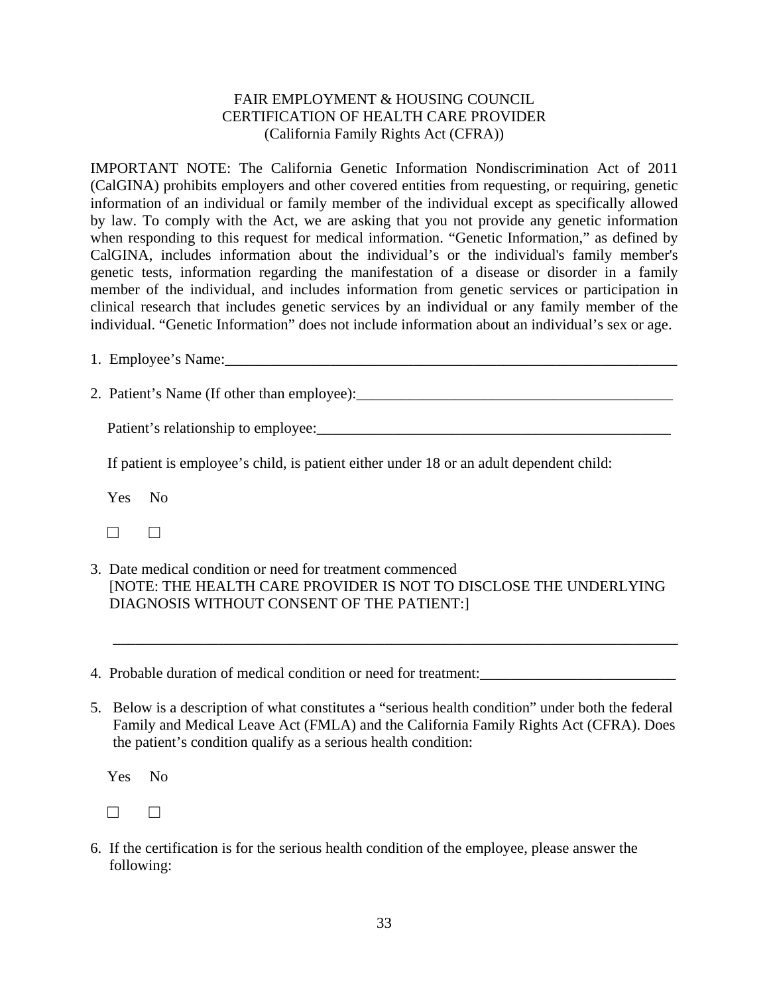# FAIR EMPLOYMENT & HOUSING COUNCIL CERTIFICATION OF HEALTH CARE PROVIDER (California Family Rights Act (CFRA))

IMPORTANT NOTE: The California Genetic Information Nondiscrimination Act of 2011 (CalGINA) prohibits employers and other covered entities from requesting, or requiring, genetic information of an individual or family member of the individual except as specifically allowed by law. To comply with the Act, we are asking that you not provide any genetic information when responding to this request for medical information. "Genetic Information," as defined by CalGINA, includes information about the individual's or the individual's family member's genetic tests, information regarding the manifestation of a disease or disorder in a family member of the individual, and includes information from genetic services or participation in clinical research that includes genetic services by an individual or any family member of the individual. "Genetic Information" does not include information about an individual's sex or age.

- 1. Employee's Name:
- 2. Patient's Name (If other than employee):\_\_\_\_\_\_\_\_\_\_\_\_\_\_\_\_\_\_\_\_\_\_\_\_\_\_\_\_\_\_\_\_\_\_\_\_\_\_\_\_\_\_

Patient's relationship to employee:

If patient is employee's child, is patient either under 18 or an adult dependent child:

Yes No

 $□$ 

3. Date medical condition or need for treatment commenced [NOTE: THE HEALTH CARE PROVIDER IS NOT TO DISCLOSE THE UNDERLYING DIAGNOSIS WITHOUT CONSENT OF THE PATIENT:]

\_\_\_\_\_\_\_\_\_\_\_\_\_\_\_\_\_\_\_\_\_\_\_\_\_\_\_\_\_\_\_\_\_\_\_\_\_\_\_\_\_\_\_\_\_\_\_\_\_\_\_\_\_\_\_\_\_\_\_\_\_\_\_\_\_\_\_\_\_\_\_\_\_\_\_

- 4. Probable duration of medical condition or need for treatment:\_\_\_\_\_\_\_\_\_\_\_\_\_\_\_\_\_\_\_\_\_\_\_\_\_\_
- 5. Below is a description of what constitutes a "serious health condition" under both the federal Family and Medical Leave Act (FMLA) and the California Family Rights Act (CFRA). Does the patient's condition qualify as a serious health condition:

Yes No

 $\Box$ 

6. If the certification is for the serious health condition of the employee, please answer the following: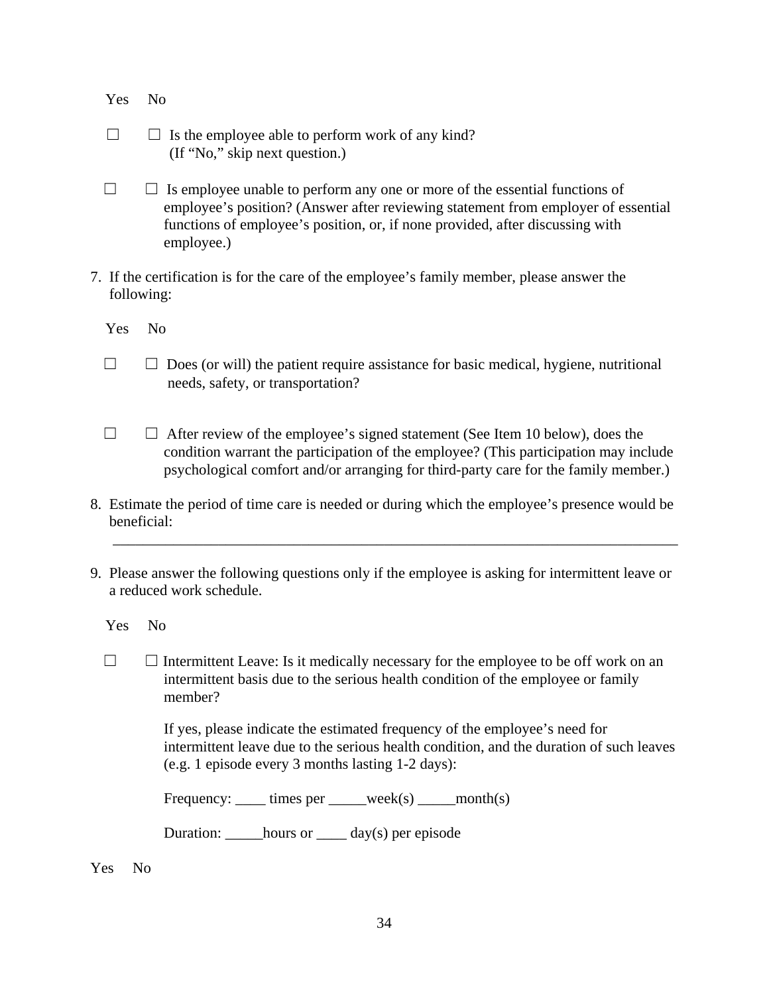| $\Box$ Is the employee able to perform work of any kind? |
|----------------------------------------------------------|
| (If "No," skip next question.)                           |

- $\Box$   $\Box$  Is employee unable to perform any one or more of the essential functions of employee's position? (Answer after reviewing statement from employer of essential functions of employee's position, or, if none provided, after discussing with employee.)
- 7. If the certification is for the care of the employee's family member, please answer the following:

Yes No

Yes No

- $\Box$   $\Box$  Does (or will) the patient require assistance for basic medical, hygiene, nutritional needs, safety, or transportation?
- $\Box$   $\Box$  After review of the employee's signed statement (See Item 10 below), does the condition warrant the participation of the employee? (This participation may include psychological comfort and/or arranging for third-party care for the family member.)
- 8. Estimate the period of time care is needed or during which the employee's presence would be beneficial:

\_\_\_\_\_\_\_\_\_\_\_\_\_\_\_\_\_\_\_\_\_\_\_\_\_\_\_\_\_\_\_\_\_\_\_\_\_\_\_\_\_\_\_\_\_\_\_\_\_\_\_\_\_\_\_\_\_\_\_\_\_\_\_\_\_\_\_\_\_\_\_\_\_\_\_

9. Please answer the following questions only if the employee is asking for intermittent leave or a reduced work schedule.

Yes No

 $\Box$   $\Box$  Intermittent Leave: Is it medically necessary for the employee to be off work on an intermittent basis due to the serious health condition of the employee or family member?

> If yes, please indicate the estimated frequency of the employee's need for intermittent leave due to the serious health condition, and the duration of such leaves (e.g. 1 episode every 3 months lasting 1-2 days):

Frequency: \_\_\_\_\_ times per \_\_\_\_\_week(s) \_\_\_\_\_month(s)

Duration: hours or  $\_\_\_\_\$  day(s) per episode

Yes No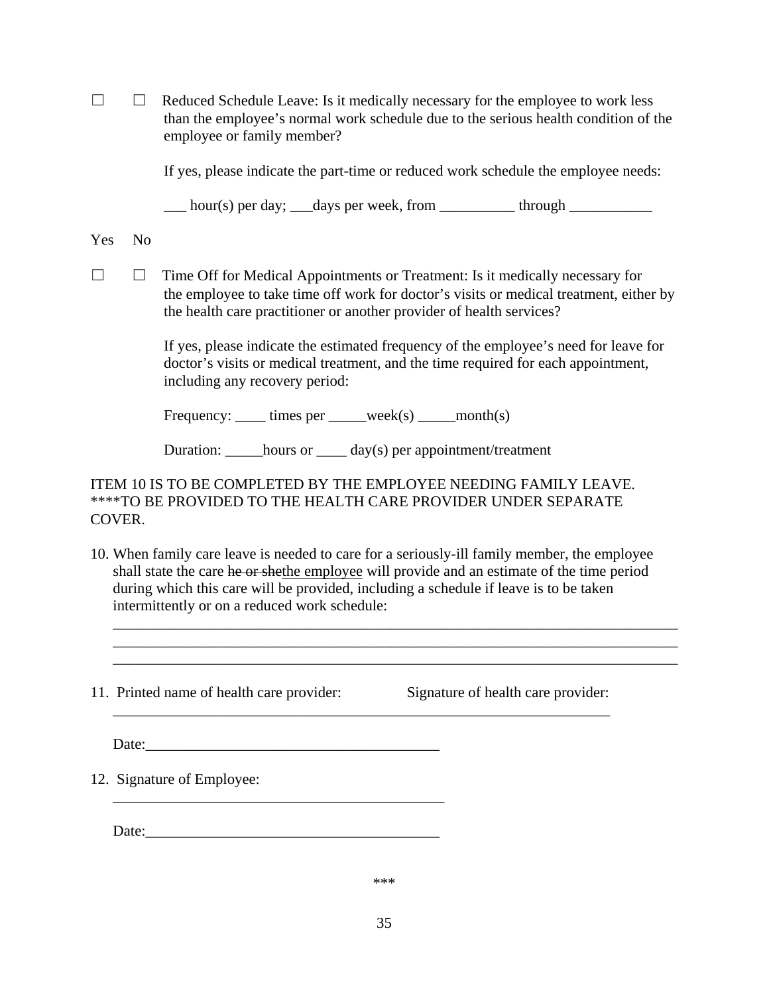|                                                                                                                                                    |                | Reduced Schedule Leave: Is it medically necessary for the employee to work less<br>than the employee's normal work schedule due to the serious health condition of the<br>employee or family member?                                                                                                                                 |
|----------------------------------------------------------------------------------------------------------------------------------------------------|----------------|--------------------------------------------------------------------------------------------------------------------------------------------------------------------------------------------------------------------------------------------------------------------------------------------------------------------------------------|
|                                                                                                                                                    |                | If yes, please indicate the part-time or reduced work schedule the employee needs:                                                                                                                                                                                                                                                   |
|                                                                                                                                                    |                | hour(s) per day; days per week, from ____________ through _______________________                                                                                                                                                                                                                                                    |
| Yes                                                                                                                                                | N <sub>o</sub> |                                                                                                                                                                                                                                                                                                                                      |
|                                                                                                                                                    | $\Box$         | Time Off for Medical Appointments or Treatment: Is it medically necessary for<br>the employee to take time off work for doctor's visits or medical treatment, either by<br>the health care practitioner or another provider of health services?                                                                                      |
|                                                                                                                                                    |                | If yes, please indicate the estimated frequency of the employee's need for leave for<br>doctor's visits or medical treatment, and the time required for each appointment,<br>including any recovery period:                                                                                                                          |
|                                                                                                                                                    |                | Frequency: _____ times per _____week(s) _____month(s)                                                                                                                                                                                                                                                                                |
|                                                                                                                                                    |                | Duration: $\_\_\_\_$ hours or $\_\_\_$ day(s) per appointment/treatment                                                                                                                                                                                                                                                              |
| ITEM 10 IS TO BE COMPLETED BY THE EMPLOYEE NEEDING FAMILY LEAVE.<br><b>****TO BE PROVIDED TO THE HEALTH CARE PROVIDER UNDER SEPARATE</b><br>COVER. |                |                                                                                                                                                                                                                                                                                                                                      |
|                                                                                                                                                    |                | 10. When family care leave is needed to care for a seriously-ill family member, the employee<br>shall state the care he or shethe employee will provide and an estimate of the time period<br>during which this care will be provided, including a schedule if leave is to be taken<br>intermittently or on a reduced work schedule: |
|                                                                                                                                                    |                |                                                                                                                                                                                                                                                                                                                                      |

11. Printed name of health care provider: Signature of health care provider:

Date:\_\_\_\_\_\_\_\_\_\_\_\_\_\_\_\_\_\_\_\_\_\_\_\_\_\_\_\_\_\_\_\_\_\_\_\_\_\_\_

12. Signature of Employee:

Date:\_\_\_\_\_\_\_\_\_\_\_\_\_\_\_\_\_\_\_\_\_\_\_\_\_\_\_\_\_\_\_\_\_\_\_\_\_\_\_

 $\mathcal{L}_\mathcal{L} = \mathcal{L}_\mathcal{L} = \mathcal{L}_\mathcal{L} = \mathcal{L}_\mathcal{L} = \mathcal{L}_\mathcal{L} = \mathcal{L}_\mathcal{L} = \mathcal{L}_\mathcal{L} = \mathcal{L}_\mathcal{L} = \mathcal{L}_\mathcal{L} = \mathcal{L}_\mathcal{L} = \mathcal{L}_\mathcal{L} = \mathcal{L}_\mathcal{L} = \mathcal{L}_\mathcal{L} = \mathcal{L}_\mathcal{L} = \mathcal{L}_\mathcal{L} = \mathcal{L}_\mathcal{L} = \mathcal{L}_\mathcal{L}$ 

\*\*\*

\_\_\_\_\_\_\_\_\_\_\_\_\_\_\_\_\_\_\_\_\_\_\_\_\_\_\_\_\_\_\_\_\_\_\_\_\_\_\_\_\_\_\_\_\_\_\_\_\_\_\_\_\_\_\_\_\_\_\_\_\_\_\_\_\_\_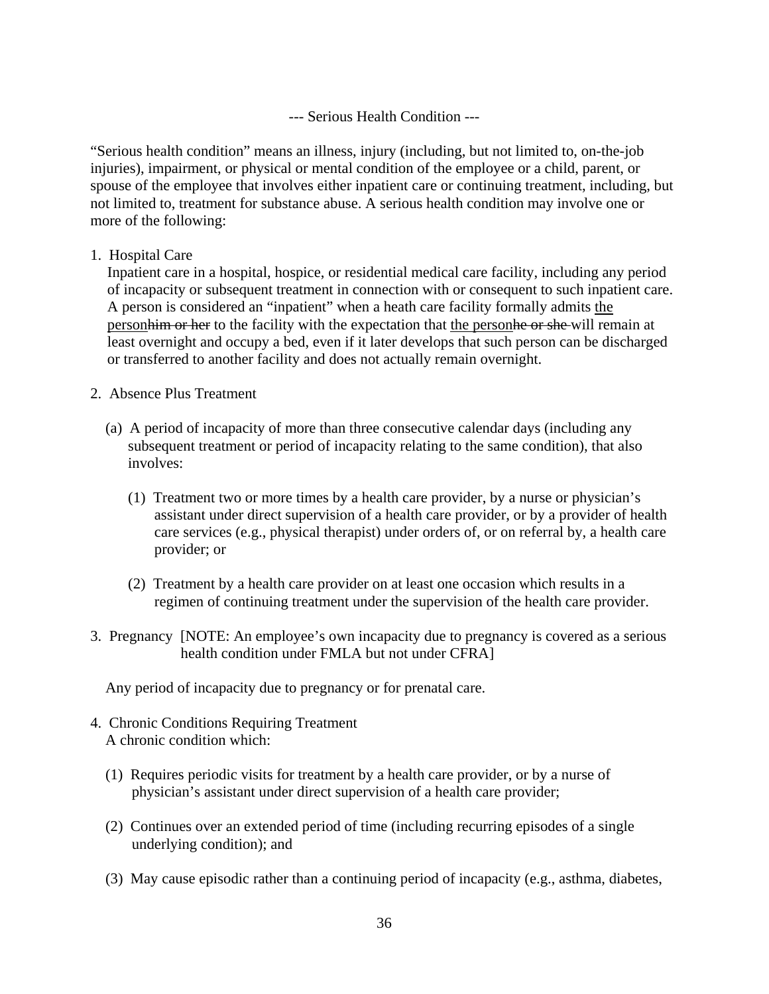--- Serious Health Condition ---

"Serious health condition" means an illness, injury (including, but not limited to, on-the-job injuries), impairment, or physical or mental condition of the employee or a child, parent, or spouse of the employee that involves either inpatient care or continuing treatment, including, but not limited to, treatment for substance abuse. A serious health condition may involve one or more of the following:

1. Hospital Care

Inpatient care in a hospital, hospice, or residential medical care facility, including any period of incapacity or subsequent treatment in connection with or consequent to such inpatient care. A person is considered an "inpatient" when a heath care facility formally admits the personhim or her to the facility with the expectation that the personhe or she will remain at least overnight and occupy a bed, even if it later develops that such person can be discharged or transferred to another facility and does not actually remain overnight.

- 2. Absence Plus Treatment
	- (a) A period of incapacity of more than three consecutive calendar days (including any subsequent treatment or period of incapacity relating to the same condition), that also involves:
		- (1) Treatment two or more times by a health care provider, by a nurse or physician's assistant under direct supervision of a health care provider, or by a provider of health care services (e.g., physical therapist) under orders of, or on referral by, a health care provider; or
		- (2) Treatment by a health care provider on at least one occasion which results in a regimen of continuing treatment under the supervision of the health care provider.
- 3. Pregnancy [NOTE: An employee's own incapacity due to pregnancy is covered as a serious health condition under FMLA but not under CFRA]

Any period of incapacity due to pregnancy or for prenatal care.

- 4. Chronic Conditions Requiring Treatment A chronic condition which:
	- (1) Requires periodic visits for treatment by a health care provider, or by a nurse of physician's assistant under direct supervision of a health care provider;
	- (2) Continues over an extended period of time (including recurring episodes of a single underlying condition); and
	- (3) May cause episodic rather than a continuing period of incapacity (e.g., asthma, diabetes,